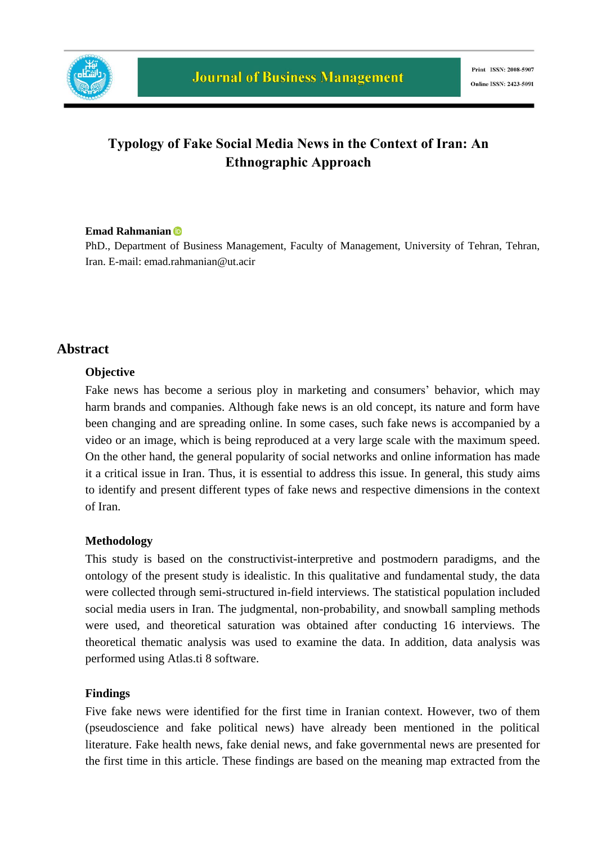

# **Typology of Fake Social Media News in the Context of Iran: An Ethnographic Approach**

#### **Emad Rahmanian**

PhD., Department of Business Management, Faculty of Management, University of Tehran, Tehran, Iran. E-mail: emad.rahmanian@ut.acir

#### **Abstract**

#### **Objective**

Fake news has become a serious ploy in marketing and consumers' behavior, which may harm brands and companies. Although fake news is an old concept, its nature and form have been changing and are spreading online. In some cases, such fake news is accompanied by a video or an image, which is being reproduced at a very large scale with the maximum speed. On the other hand, the general popularity of social networks and online information has made it a critical issue in Iran. Thus, it is essential to address this issue. In general, this study aims to identify and present different types of fake news and respective dimensions in the context of Iran.

#### **Methodology**

This study is based on the constructivist-interpretive and postmodern paradigms, and the ontology of the present study is idealistic. In this qualitative and fundamental study, the data were collected through semi-structured in-field interviews. The statistical population included social media users in Iran. The judgmental, non-probability, and snowball sampling methods were used, and theoretical saturation was obtained after conducting 16 interviews. The theoretical thematic analysis was used to examine the data. In addition, data analysis was performed using Atlas.ti 8 software.

#### **Findings**

Five fake news were identified for the first time in Iranian context. However, two of them (pseudoscience and fake political news) have already been mentioned in the political literature. Fake health news, fake denial news, and fake governmental news are presented for the first time in this article. These findings are based on the meaning map extracted from the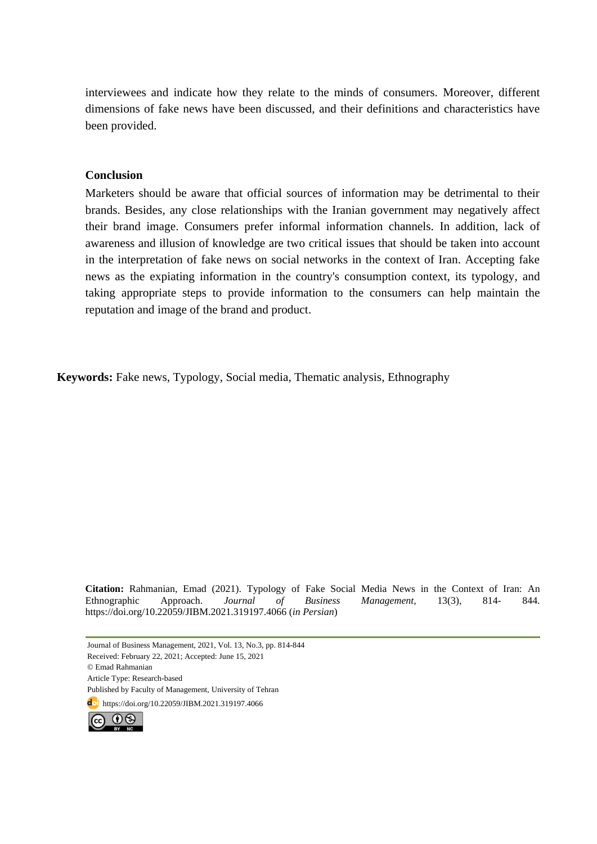interviewees and indicate how they relate to the minds of consumers. Moreover, different dimensions of fake news have been discussed, and their definitions and characteristics have been provided.

#### **Conclusion**

Marketers should be aware that official sources of information may be detrimental to their brands. Besides, any close relationships with the Iranian government may negatively affect their brand image. Consumers prefer informal information channels. In addition, lack of awareness and illusion of knowledge are two critical issues that should be taken into account in the interpretation of fake news on social networks in the context of Iran. Accepting fake news as the expiating information in the country's consumption context, its typology, and taking appropriate steps to provide information to the consumers can help maintain the reputation and image of the brand and product.

**Keywords:** Fake news, Typology, Social media, Thematic analysis, Ethnography

**Citation:** Rahmanian, Emad (2021). Typology of Fake Social Media News in the Context of Iran: An Ethnographic Approach. *Journal of Business Management,* 13(3), 814- 844. https://doi.org/10.22059/JIBM.2021.319197.4066 (*in Persian*)

Journal of Business Management, 2021, Vol. 13, No.3, pp. 814-844 Received: February 22, 2021; Accepted: June 15, 2021 © Emad Rahmanian Article Type: Research-based Published by Faculty of Management, University of Tehran **doi** https://doi.org/10.22059/JIBM.2021.319197.4066

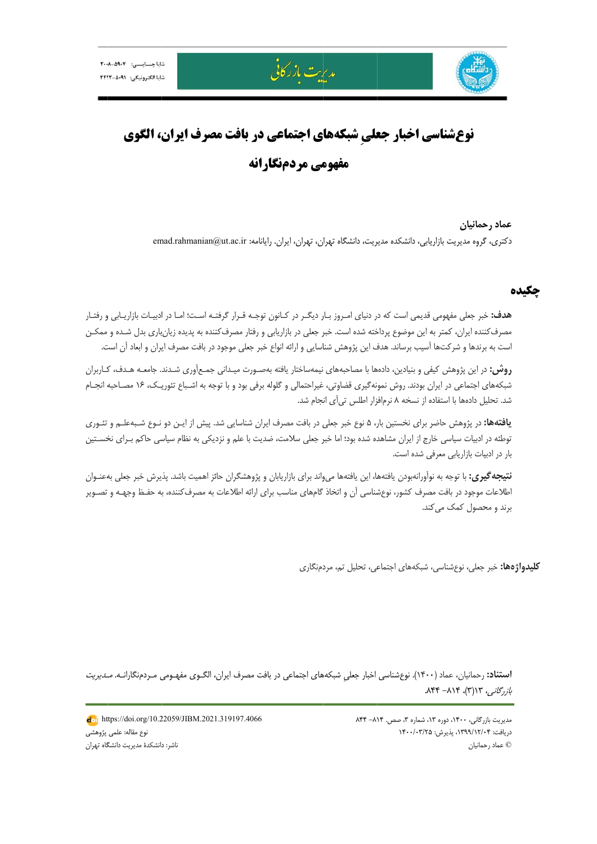



# مديرت بازركانى

# **نوعشناسي اخبار جعلي شبكههاي اجتماعي در بافت مصرف ايران، الگوي مفهومی مردمنگارانه**

دكترى، گروه مديريت بازاريابي، دانشكده مديريت، دانشگاه تهران، تهران، ايران. رايانامه: emad.rahmanian@ut.ac.ir **حمانيان عماد رح**

#### **چكيده چ**

ه**دف:** خبر جعلی مفهومی قدیمی است که در دنیای امـروز بـار دیگـر در کـانون توجـه قـرار گرفتـه اسـت؛ امـا در ادبيـات بازاريـابی و رفتـار مصرف كننده ايران، كمتر به اين موضوع پرداخته شده است. خبر جعلي در بازاريابي و رفتار مصرف كننده به پديده زيانبارى بدل شـده و ممكـن ست به برندها و شركتها آسيب برساند. هدف اين پژوهش شناسايي و ارائه انواع خبر جعلي موجود در بافت مصرف ايران و ابعاد أن است.

**روش:** در اين پژوهش كيفي و بنيادين، دادهها با مصاحبههاي نيمهساختار يافته بهصـورت ميـداني جمـعأوري شـدند. جامعـه هـدف، كـاربران شبكههاي اجتماعي در ايران بودند. روش نمونهگيري قضاوتي، غيراحتمالي و گلوله برفي بود و با توجه به اشـباع تئوريـك، ۱۶ مصـاحبه انجــام شد. تحليل دادهها با استفاده از نسخه ۸ نرم|فزار اطلس تي∫ى انجام شد.

**يافتهها:** در پژوهش حاضر براى نخستين بار، ۵ نوع خبر جعلى در بافت مصرف ايران شناسايى شد. پيش از ايـن دو نـوع شـبهعلـم و تئـورى نوطئه در ادبيات سياسي خارج از ايران مشاهده شده بود؛ اما خبر جعلي سلامت، ضديت با علم و نزديكي به نظام سياسي حاكم بـراى نخســتين بار در ادبيات بازاريابي معرفي شده است.

ن**تيجه گيري:** با توجه به نوآورانهبودن يافتهها، اين يافتهها ميواند براي بازاريابان و پژوهشگران حائز اهميت باشد. پذيرش خبر جعلي بهعنـوان طلاعات موجود در بافت مصرف كشور، نوعشناسي أن و اتخاذ گامهاى مناسب براى ارائه اطلاعات به مصرف¢كننده، به حفـظ وجهـه و تصـوير برند و محصول كمک مىكند.

**كليدواژهها:** خبر جعلى، نوعشناسي، شبكههاى اجتماعى، تحليل تم، مردمنگارى

ا**ستناد:** رحمانيان، عماد (١۴٠٠). نوعِشناسي اخبار جعلي شبكههاي اجتماعي در بافت مصرف ايران، الگــوي مفهــومي مــردمنگارانــه. *مـديريت* بازرگانی، ۱۳(۳)، ۸۱۴– ۸۴۴.

> مديريت بازرگاني، ١۴٠٠، دوره ١٣، شماره ٣، صص. ٨١۴- ٨۴۴ دريافت: ۱۳۹۹/۱۲/۰۴، پذيرش: ۱۴۰۰/۰۳/۲۵ حمانيان © عماد رح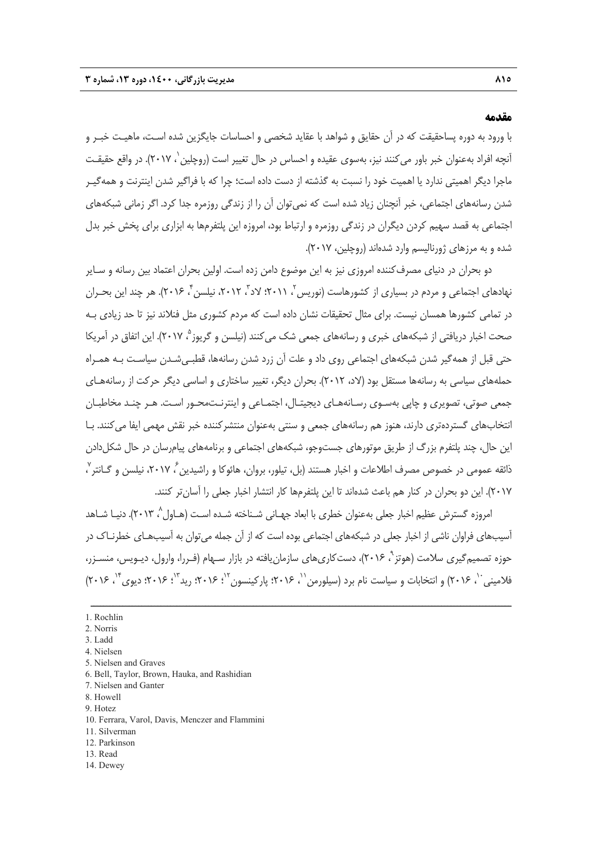#### **مقدمه**

با ورود به دوره پساحقيقت كه در آن حقايق و شواهد با عقايد شخصي و احساسات جايگزين شده اسـت، ماهيـت خبـر و آنچه افراد بهعنوان خبر باور مي كنند نيز، بهسوي عقيده و احساس در حال تغيير است (روچلين`، ۲۰۱۷). در واقع حقيقـت ماجرا ديگر اهميتي ندارد يا اهميت خود را نسبت به گذشته از دست داده است؛ چرا كه با فراگير شدن اينترنت و همهگيـر شدن رسانههاي اجتماعي، خبر آنچنان زياد شده است كه نميتوان آن را از زندگي روزمره جدا كرد. اگر زماني شبكههاي اجتماعي به قصد سهيم كردن ديگران در زندگي روزمره و ارتباط بود، امروزه اين پلتفرمها به ابزاري براي پخش خبر بدل شده و به مرزهاي ژورناليسم وارد شدهاند (روچلين، 2017).

دو بحران در دنياي مصرفكننده امروزي نيز به اين موضوع دامن زده است. اولين بحران اعتماد بين رسانه و سـاير نهادهاي اجتماعي و مردم در بسياري از كشورهاست (نوريس <sup>7</sup>، ۲۰۱۱؛ لاد ً، ۲۰۱۲، نيلسن ً، ۲۰۱۶). هر چند اين بحـران در تمامي كشورها همسان نيست. براي مثال تحقيقات نشان داده است كه مردم كشوري مثل فنلاند نيز تا حد زيادي بـه صحت اخبار دريافتي از شبكههاي خبري و رسانههاي جمعي شک مي کنند (نيلسن و گريوز °، ۲۰۱۷). اين اتفاق در آمريکا حتي قبل از همهگير شدن شبكههاي اجتماعي روي داد و علت آن زرد شدن رسانهها، قطبـيشـدن سياسـت بـه همـراه حملههاي سياسي به رسانهها مستقل بود (لاد، 2012). بحران ديگر، تغيير ساختاري و اساسي ديگر حركت از رسانههـاي جمعي صوتي، تصويري و چاپي بهسـوي رسـانههـاي ديجيتـال، اجتمـاعي و اينترنـتمحـور اسـت. هـر چنـد مخاطبـان انتخابهاي گستردهتري دارند، هنوز هم رسانههاي جمعي و سنتي بهعنوان منتشركننده خبر نقش مهمي ايفا ميكنند. بـا اين حال، چند پلتفرم بزرگ از طريق موتورهاي جستوجو، شبكههاي اجتماعي و برنامههاي پيامرسان در حال شكلدادن ذائقه عمومی در خصوص مصرف اطلاعات و اخبار هستند (بل، تيلور، بروان، هائوكا و راشيدين ً، ۲۰۱۷، نيلسن و گــانتر <sup>۷</sup> ، 2017). اين دو بحران در كنار هم باعث شدهاند تا اين پلتفرمها كار انتشار اخبار جعلي را آسانتر كنند.

امروزه گسترش عظیم اخبار جعلي بهعنوان خطري با ابعاد جهـاني شـناخته شـده اسـت (هـاول^ ۲۰۱۳). دنيـا شـاهد آسيبهاي فراوان ناشي از اخبار جعلي در شبكههاي اجتماعي بوده است كه از آن جمله ميتوان به آسيبهـاي خطرنـاك در حوزه تصميم گيرى سلامت (هوتز<sup>۹</sup>، ۲۰۱۶)، دست كارىهاى سازمان ِيافته در بازار سـهام (فـررا، وارول، ديـويس، منسـزر، فلامینی ``، ۲۰۱۶) و انتخابات و سیاست نام برد (سیلورمن``، ۲۰۱۶؛ پارکینسون ``، ۲۰۱۶؛ رید ّ`، ۲۰۱۶؛ دیوی ٔ``، ۲۰۱۶)

- 6. Bell, Taylor, Brown, Hauka, and Rashidian
- 7. Nielsen and Ganter
- 8. Howell
- 9. Hotez
- 10. Ferrara, Varol, Davis, Menczer and Flammini
- 11. Silverman
- 12. Parkinson
- 13. Read
- 14. Dewey

<sup>1.</sup> Rochlin

<sup>2.</sup> Norris

<sup>3.</sup> Ladd

<sup>4.</sup> Nielsen

<sup>5.</sup> Nielsen and Graves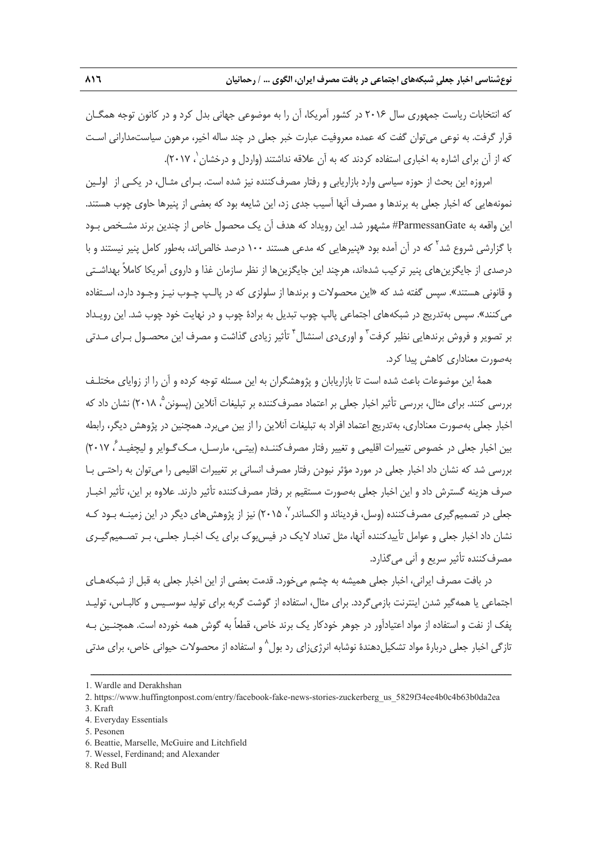كه انتخابات رياست جمهوري سال 2016 در كشور آمريكا، آن را به موضوعي جهاني بدل كرد و در كانون توجه همگـان قرار گرفت. به نوعي ميتوان گفت كه عمده معروفيت عبارت خبر جعلي در چند ساله اخير، مرهون سياستمداراني اسـت كه از آن براي اشاره به اخباري استفاده كردند كه به آن علاقه نداشتند (واردل و درخشان `، ۲۰۱۷).

امروزه اين بحث از حوزه سياسي وارد بازاريابي و رفتار مصرفكننده نيز شده است. بـراي مثـال، در يكـي از اولـين نمونههايي كه اخبار جعلي به برندها و مصرف آنها آسيب جدي زد، اين شايعه بود كه بعضي از پنيرها حاوي چوب هستند. اين واقعه به ParmessanGate# مشهور شد. اين رويداد كه هدف آن يك محصول خاص از چندين برند مشـخص بـود با گزارشي شروع شد<sup>۲</sup> كه در آن آمده بود «پنيرهايي كه مدعي هستند ۱۰۰ درصد خالصاند، بهطور كامل پنير نيستند و با درصدي از جايگزينهاي پنير تركيب شدهاند، هرچند اين جايگزينها از نظر سازمان غذا و داروي آمريكا كاملاً بهداشـتي و قانوني هستند». سپس گفته شد كه «اين محصولات و برندها از سلولزي كه در پالـپ چـوب نيـز وجـود دارد، اسـتفاده ميكنند». سپس بهتدريج در شبكههاي اجتماعي پالپ چوب تبديل به برادة چوب و در نهايت خود چوب شد. اين رويـداد بر تصوير و فروش برندهايى نظير كرفت<sup>٬</sup> و اورىدى اسنشال<sup>۴</sup> تأثير زيادى گذاشت و مصرف اين محصـول بـراى مـدتى بهصورت معناداري كاهش پيدا كرد.

همة اين موضوعات باعث شده است تا بازاريابان و پژوهشگران به اين مسئله توجه كرده و آن را از زواياي مختلـف بررسي كنند. براي مثال، بررسي تأثير اخبار جعلي بر اعتماد مصرف كننده بر تبليغات آنلاين (پسونن °، ٢٠١٨) نشان داد كه اخبار جعلي بهصورت معناداري، بهتدريج اعتماد افراد به تبليغات آنلاين را از بين ميبرد. همچنين در پژوهش ديگر، رابطه بين اخبار جعلي در خصوص تغييرات اقليمي و تغيير رفتار مصرفكننـده (بيتـي، مارسـل، مـكگـواير و ليچفيـد <sup>6</sup> (2017 ، بررسي شد كه نشان داد اخبار جعلي در مورد مؤثر نبودن رفتار مصرف انساني بر تغييرات اقليمي را ميتوان به راحتـي بـا صرف هزينه گسترش داد و اين اخبار جعلي بهصورت مستقيم بر رفتار مصرفكننده تأثير دارند . علاوه بر اين، تأثير اخبـار جعلی در تصميم *گ*يری مصرف كننده (وسل، فرديناند و الكساندر ٬ ۲۰۱۵) نيز از پژوهش های ديگر در اين زمينـه بـود كـه نشان داد اخبار جعلي و عوامل تأييدكننده آنها، مثل تعداد لايك در فيسبوك براي يك اخبـار جعلـي، بـر تصـميمگيـري مصرفكننده تأثير سريع و آني ميگذارد.

در بافت مصرف ايراني، اخبار جعلي هميشه به چشم ميخورد. قدمت بعضي از اين اخبار جعلي به قبل از شبكههـاي اجتماعي يا همهگير شدن اينترنت بازميگردد. براي مثال، استفاده از گوشت گربه براي توليد سوسـيس و كالبـاس، توليـد پفك از نفت و استفاده از مواد اعتيادآور در جوهر خودكار يك برند خاص، قطعاً به گوش همه خورده است. همچنـين بـه نازگی اخبار جعلی دربارهٔ مواد تشکیلدهندهٔ نوشابه انرژیزای رد بول<sup>۸</sup> و استفاده از محصولات حیوانی خاص، برای مدتی

ــــــــــــــــــــــــــــــــــــــــــــــــــــــــــــــــــــــــــــــــــــــــــــــــــــــــــــــــــــــــــــــــــــ

3. Kraft

<sup>1.</sup> Wardle and Derakhshan

<sup>2.</sup> https://www.huffingtonpost.com/entry/facebook-fake-news-stories-zuckerberg\_us\_5829f34ee4b0c4b63b0da2ea

<sup>4.</sup> Everyday Essentials

<sup>5.</sup> Pesonen

<sup>6.</sup> Beattie, Marselle, McGuire and Litchfield

<sup>7.</sup> Wessel, Ferdinand; and Alexander

<sup>8.</sup> Red Bull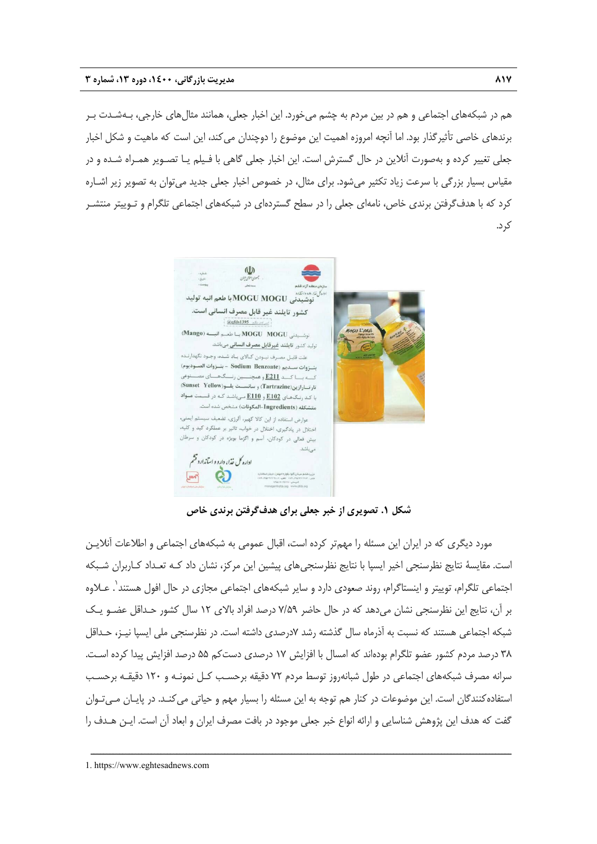هم در شبكههاي اجتماعي و هم در بين مردم به چشم ميخورد. اين اخبار جعلي، همانند مثالهاي خارجي، بـهشـدت بـر برندهاي خاصي تأثيرگذار بود. اما آنچه امروزه اهميت اين موضوع را دوچندان ميكند، اين است كه ماهيت و شكل اخبار جعلي تغيير كرده و بهصورت آنلاين در حال گسترش است. اين اخبار جعلي گاهي با فـيلم يـا تصـوير همـراه شـده و در مقياس بسيار بزرگي با سرعت زياد تكثير ميشود. براي مثال، در خصوص اخبار جعلي جديد ميتوان به تصوير زير اشـاره كرد كه با هدفگرفتن برندي خاص، نامهاي جعلي را در سطح گستردهاي در شبكههاي اجتماعي تلگرام و تـوييتر منتشـر كرد.



**شكل .1 تصويري از خبر جعلي براي هدفگرفتن برندي خاص** 

مورد ديگري كه در ايران اين مسئله را مهمتر كرده است، اقبال عمومي به شبكههاي اجتماعي و اطلاعات آنلايـن است. مقايسة نتايج نظرسنجي اخير ايسپا با نتايج نظرسنجيهاي پيشين اين مركز، نشان داد كـه تعـداد كـاربران شـبكه اجتماعي تلگرام، توييتر و اينستاگرام، روند صعودي دارد و ساير شبكههاي اجتماعي مجازي در حال افول هستند'. عــلاوه بر آن، نتايج اين نظرسنجي نشان ميدهد كه در حال حاضر 7/59 درصد افراد بالاي 12 سال كشور حـداقل عضـو يـك شبكه اجتماعي هستند كه نسبت به آذرماه سال گذشته رشد 7درصدي داشته است. در نظرسنجي ملي ايسپا نيـز، حـداقل 38 درصد مردم كشور عضو تلگرام بودهاند كه امسال با افزايش 17 درصدي دستكم 55 درصد افزايش پيدا كرده اسـت. سرانه مصرف شبكههاي اجتماعي در طول شبانهروز توسط مردم 72 دقيقه برحسـب كـل نمونـه و 120 دقيقـه برحسـب استفادهكنندگان است. اين موضوعات در كنار هم توجه به اين مسئله را بسيار مهم و حياتي ميكنـد. در پايـان مـيتـوان گفت كه هدف اين پژوهش شناسايي و ارائه انواع خبر جعلي موجود در بافت مصرف ايران و ابعاد آن است. ايـن هـدف را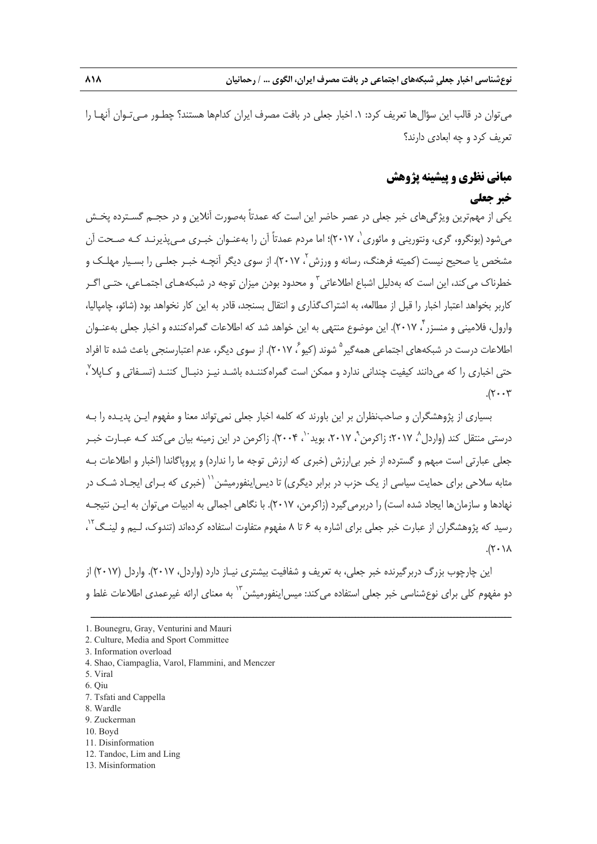ميتوان در قالب اين سؤالها تعريف كرد: .1 اخبار جعلي در بافت مصرف ايران كدامها هستند؟ چطـور مـيتـوان آنهـا را تعريف كرد و چه ابعادي دارند؟

# **مباني نظري و پيشينه پژوهش**

# **خبر جعلي**

يكي از مهمترين ويژگيهاي خبر جعلي در عصر حاضر اين است كه عمدتاً بهصورت آنلاين و در حجـم گسـترده پخـش ميشود (بونگرو، گرى، ونتوريني و مائورى`، ٢٠١٧)؛ اما مردم عمدتاً آن را بهعنـوان خبـرى مـيپذيرنـد كـه صـحت آن مشخص يا صحيح نيست (كميته فرهنگ، رسانه و ورزش ۲ ، ۲۰۱۷). از سوى ديگر آنچــه خبـر جعلــى را بســيار مهلــك و خطرناک مي کند، اين است که بهدليل اشباع اطلاعاتي<sup>"</sup> و محدود بودن ميزان توجه در شبکههـاي اجتمـاعي، حتـي اگـر كاربر بخواهد اعتبار اخبار را قبل از مطالعه، به اشتراكگذاري و انتقال بسنجد، قادر به اين كار نخواهد بود (شائو، چامپاليا، وارول، فلاميني و منسزر ب ٢٠١٧). اين موضوع منتهي به اين خواهد شد كه اطلاعات گمراهكننده و اخبار جعلي بهعنـوان اطلاعات درست در شبكههاي احتماعي همهگير <sup>۵</sup> شوند (كيو <sup>۶</sup> ۲۰۱۷). از سوي ديگر، عدم اعتبارسنجي باعث شده تا افراد حتی اخباری را که میدانند کیفیت چندانی ندارد و ممکن است گمراهکننـده باشـد نیـز دنبـال کننـد (تسـفاتی و کـاپلا<sup>۷</sup> ،  $.7 - 7$ 

بسياري از پژوهشگران و صاحبنظران بر اين باورند كه كلمه اخبار جعلي نميتواند معنا و مفهوم ايـن پديـده را بـه درستي منتقل كند (واردل^، ٢٠١٧؛ زاكرمن`ْ، ٢٠١٧، بويد ``، ٢٠٠۴). زاكرمن در اين زمينه بيان ميكند كـه عبـارت خبـر جعلي عبارتي است مبهم و گسترده از خبر بيارزش (خبري كه ارزش توجه ما را ندارد) و پروپاگاندا (اخبار و اطلاعات بـه مثابه سلاحی برای حمایت سیاسی از یک حزب در برابر دیگری) تا دیس!ینفورمیشن<sup>۱٬</sup> (خبری که بـرای ایجـاد شـک در نهادها و سازمانها ايجاد شده است) را دربرميگيرد (زاكرمن، 2017). با نگاهي اجمالي به ادبيات ميتوان به ايـن نتيجـه رسید که پژوهشگران از عبارت خبر جعلی برای اشاره به ۶ تا ۸ مفهوم متفاوت استفاده کردهاند (تندوک، لـیم و لینـگ<sup>۰٬</sup> ،  $\lambda$ / $\lambda$ ).

اين چارچوب بزرگ دربرگيرنده خبر جعلي، به تعريف و شفافيت بيشتري نيـاز دارد (واردل، 2017). واردل (2017) از دو مفهوم كلى براى نوعشناسى خبر جعلى استفاده مىكند: ميس|ينفورميشن™ به معناى ارائه غيرعمدى اطلاعات غلط و

- 1. Bounegru, Gray, Venturini and Mauri
- 2. Culture, Media and Sport Committee
- 3. Information overload
- 4. Shao, Ciampaglia, Varol, Flammini, and Menczer
- 5. Viral
- 6. Qiu
- 7. Tsfati and Cappella
- 8. Wardle
- 9. Zuckerman
- 10. Boyd
- 11. Disinformation
- 12. Tandoc, Lim and Ling
- 13. Misinformation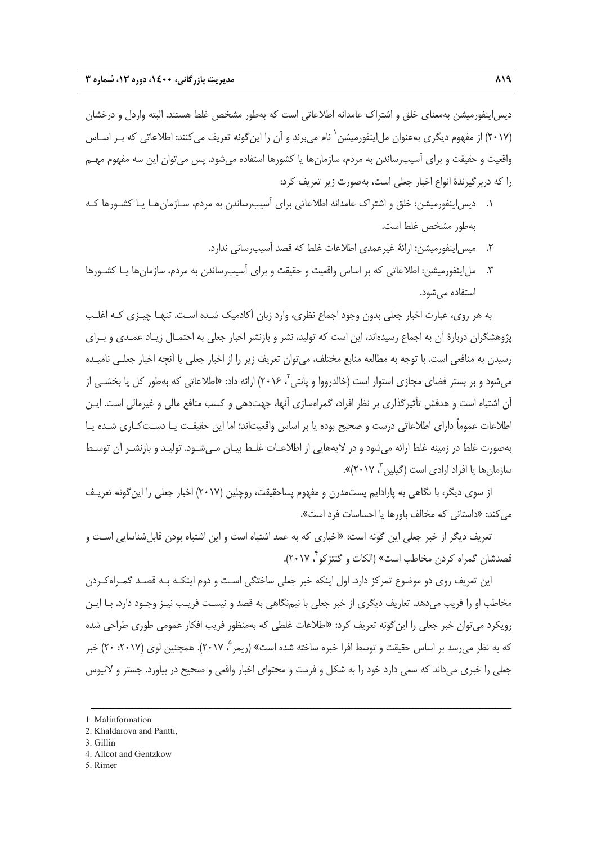ديساينفورميشن بهمعناي خلق و اشتراك عامدانه اطلاعاتي است كه بهطور مشخص غلط هستند. البته واردل و درخشان (٢٠١٧) از مفهوم ديگري بهعنوان مل!ينفورميشن` نام مے برند و آن را اين گونه تعريف مي كنند: اطلاعاتي كه بـر اسـاس واقعيت و حقيقت و براي آسيبرساندن به مردم، سازمانها يا كشورها استفاده ميشود. پس ميتوان اين سه مفهوم مهـم را كه دربرگيرندة انواع اخبار جعلي است، بهصورت زير تعريف كرد:

- .1 ديساينفورميشن: خلق و اشتراك عامدانه اطلاعاتي براي آسيبرساندن به مردم، سـازمانهـا يـا كشـورها كـه بهطور مشخص غلط است.
	- .2 ميساينفورميشن: ارائة غيرعمدي اطلاعات غلط كه قصد آسيبرساني ندارد.
- .3 ملاينفورميشن: اطلاعاتي كه بر اساس واقعيت و حقيقت و براي آسيبرساندن به مردم، سازمانها يـا كشـورها استفاده ميشود.

به هر روي، عبارت اخبار جعلي بدون وجود اجماع نظري، وارد زبان آكادميك شـده اسـت. تنهـا چيـزي كـه اغلـب پژوهشگران دربارة آن به اجماع رسيدهاند، اين است كه توليد، نشر و بازنشر اخبار جعلي به احتمـال زيـاد عمـدي و بـراي رسيدن به منافعي است. با توجه به مطالعه منابع مختلف، ميتوان تعريف زير را از اخبار جعلي يا آنچه اخبار جعلـي ناميـده میشود و بر بستر فضای مجازی استوار است (خالدرووا و پانتی <sup>۲</sup>، ۲۰۱۶) ارائه داد: «اطلاعاتی که بهطور کل یا بخشـی از آن اشتباه است و هدفش تأثيرگذاري بر نظر افراد، گمراهسازي آنها، جهتدهي و كسب منافع مالي و غيرمالي است. ايـن اطلاعات عموماً داراي اطلاعاتي درست و صحيح بوده يا بر اساس واقعيتاند؛ اما اين حقيقـت يـا دسـتكـاري شـده يـا بهصورت غلط در زمينه غلط ارائه ميشود و در لايههايي از اطلاعـات غلـط بيـان مـيشـود. توليـد و بازنشـر آن توسـط سازمانها يا افراد ارادي است (گيلين<sup>7</sup>، ۲۰۱۷)».

از سوي ديگر، با نگاهي به پارادايم پستمدرن و مفهوم پساحقيقت، روچلين (2017) اخبار جعلي را اينگونه تعريـف مي كند: «داستاني كه مخالف باورها يا احساسات فرد است».

تعريف ديگر از خبر جعلي اين گونه است: «اخباري كه به عمد اشتباه است و اين اشتباه بودن قابلشناسايي اسـت و قصدشان گمراه كردن مخاطب است» (الكات و گنتزكو ٌ، ۲۰۱۷).

اين تعريف روي دو موضوع تمركز دارد. اول اينكه خبر جعلي ساختگي اسـت و دوم اينكـه بـه قصـد گمـراهكـردن مخاطب او را فريب ميدهد. تعاريف ديگري از خبر جعلي با نيمنگاهي به قصد و نيسـت فريـب نيـز وجـود دارد. بـا ايـن رويكرد ميتوان خبر جعلي را اينگونه تعريف كرد: «اطلاعات غلطي كه بهمنظور فريب افكار عمومي طوري طراحي شده که به نظر می رسد بر اساس حقيقت و توسط افرا خبره ساخته شده است» (ريمر °، ۲۰۱۷). همچنين لوي (۲۰۱۷: ۲۰) خبر جعلي را خبري ميداند كه سعي دارد خود را به شكل و فرمت و محتواي اخبار واقعي و صحيح در بياورد. جستر و لانيوس

- 4. Allcot and Gentzkow
- 5. Rimer

<sup>1.</sup> Malinformation

<sup>2.</sup> Khaldarova and Pantti,

<sup>3.</sup> Gillin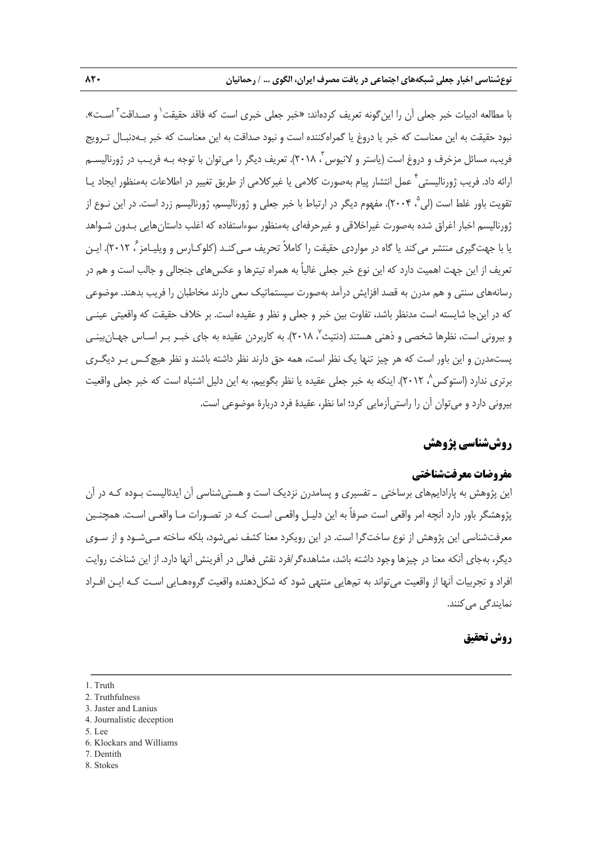با مطالعه ادبيات خبر جعلي آن را اين گونه تعريف كردهاند: «خبر جعلي خبري است كه فاقد حقيقت` و صـداقت<sup>٢</sup> اسـت». نبود حقيقت به اين معناست كه خبر يا دروغ يا گمراهكننده است و نبود صداقت به اين معناست كه خبر بـهدنبـال تـرويج فريب، مسائل مزخرف و دروغ است (ياستر و لانيوس "، ٢٠١٨). تعريف ديگر را مي¤وان با توجه بـه فريـب در ژورناليسـم ارائه داد. فريب ژورناليستي <sup>7</sup> عمل انتشار پيام بهصورت كلامي يا غيركلامي از طريق تغيير در اطلاعات بهمنظور ايجاد يـا تقويت باور غلط است (لي °، ٢٠٠۴). مفهوم ديگر در ارتباط با خبر جعلي و ژورناليسم، ژورناليسم زرد است. در اين نـوع از ژورناليسم اخبار اغراق شده بهصورت غيراخلاقي و غيرحرفهاي بهمنظور سوءاستفاده كه اغلب داستانهايي بـدون شـواهد يا با جهت گيري منتشر مي كند يا گاه در مواردي حقيقت را كاملاً تحريف مـي كنـد (كلوكـارس و ويليـامز ً، ٢٠١٢). ايـن تعريف از اين جهت اهميت دارد كه اين نوع خبر جعلي غالباً به همراه تيترها و عكسهاي جنجالي و جالب است و هم در رسانههاي سنتي و هم مدرن به قصد افزايش درآمد بهصورت سيستماتيك سعي دارند مخاطبان را فريب بدهند. موضوعي كه در اينجا شايسته است مدنظر باشد، تفاوت بين خبر و جعلي و نظر و عقيده است. بر خلاف حقيقت كه واقعيتي عينـي و بیرونی است، نظرها شخصی و ذهنی هستند (دنتیث<sup>٬</sup>، ۲۰۱۸). به کاربردن عقیده به جای خبـر بـر اسـاس جهـان بینـی پستمدرن و اين باور است كه هر چيز تنها يك نظر است، همه حق دارند نظر داشته باشند و نظر هيچكـس بـر ديگـري برتری ندارد (استوکس<sup>^</sup>، ۲۰۱۲). اینکه به خبر جعلی عقیده یا نظر بگوییم، به این دلیل اشتباه است که خبر جعلی واقعیت بيروني دارد و ميتوان آن را راستيآزمايي كرد؛ اما نظر، عقيدة فرد دربارة موضوعي است.

# **روششناسي پژوهش**

#### **مفروضات معرفتشناختي**

اين پژوهش به پارادايمهاي برساختي ـ تفسيري و پسامدرن نزديك است و هستيشناسي آن ايدئاليست بـوده كـه در آن پژوهشگر باور دارد آنچه امر واقعي است صرفاً به اين دليـل واقعـي اسـت كـه در تصـورات مـا واقعـي اسـت. همچنـين معرفتشناسي اين پژوهش از نوع ساختگرا است. در اين رويكرد معنا كشف نميشود، بلكه ساخته مـيشـود و از سـوي ديگر، بهجاي آنكه معنا در چيزها وجود داشته باشد، مشاهدهگر/فرد نقش فعالي در آفرينش آنها دارد. از اين شناخت روايت افراد و تجربيات آنها از واقعيت ميتواند به تمهايي منتهي شود كه شكلدهنده واقعيت گروههـايي اسـت كـه ايـن افـراد نمايندگي مي كنند.

ــــــــــــــــــــــــــــــــــــــــــــــــــــــــــــــــــــــــــــــــــــــــــــــــــــــــــــــــــــــــــــــــــــ

#### **روش تحقيق**

- 4. Journalistic deception
- 5. Lee
- 6. Klockars and Williams
- 7. Dentith
- 8. Stokes

<sup>1.</sup> Truth

<sup>2.</sup> Truthfulness

<sup>3.</sup> Jaster and Lanius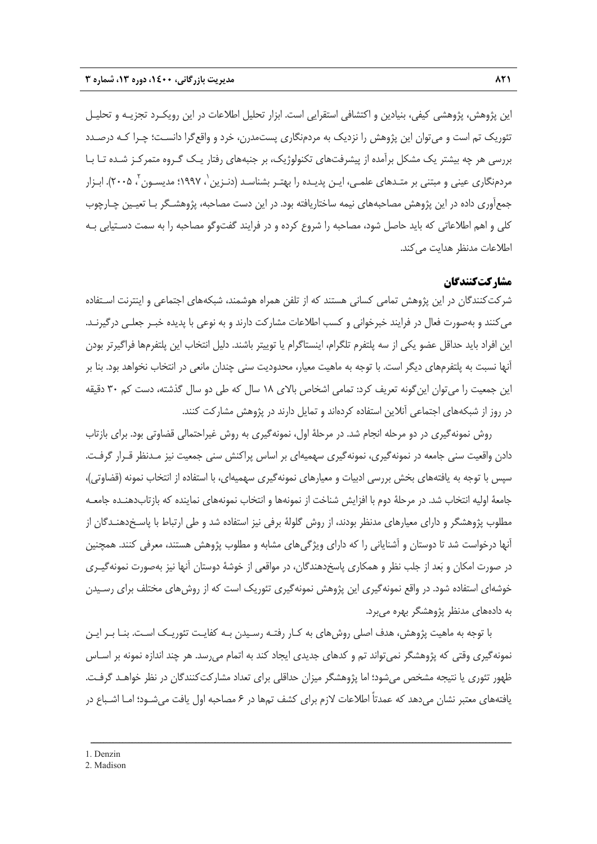اين پژوهش، پژوهشي كيفي، بنيادين و اكتشافي استقرايي است. ابزار تحليل اطلاعات در اين رويكـرد تجزيـه و تحليـل تئوريك تم است و ميتوان اين پژوهش را نزديك به مردمنگاري پستمدرن، خرد و واقعگرا دانسـت؛ چـرا كـه درصـدد بررسي هر چه بيشتر يك مشكل برآمده از پيشرفتهاي تكنولوژيك، بر جنبههاي رفتار يـك گـروه متمركـز شـده تـا بـا مردمنگاري عيني و مبتني بر متـدهاي علمـي، ايـن پديـده را بهتـر بشناسـد (دنـزين`، ١٩٩٧؛ مديسـون`، ٢٠٠۵). ابـزار جمعآوري داده در اين پژوهش مصاحبههاي نيمه ساختاريافته بود. در اين دست مصاحبه، پژوهشـگر بـا تعيـين چـارچوب كلي و اهم اطلاعاتي كه بايد حاصل شود، مصاحبه را شروع كرده و در فرايند گفتوگو مصاحبه را به سمت دسـتيابي بـه اطلاعات مدنظر هدايت مي كند.

#### **مشاركتكنندگان**

شركت كنندگان در اين پژوهش تمامي كساني هستند كه از تلفن همراه هوشمند، شبكههاي اجتماعي و اينترنت اسـتفاده ميكنند و بهصورت فعال در فرايند خبرخواني و كسب اطلاعات مشاركت دارند و به نوعي با پديده خبـر جعلـي درگيرنـد. اين افراد بايد حداقل عضو يكي از سه پلتفرم تلگرام، اينستاگرام يا توييتر باشند. دليل انتخاب اين پلتفرمها فراگيرتر بودن آنها نسبت به پلتفرمهاي ديگر است. با توجه به ماهيت معيار، محدوديت سني چندان مانعي در انتخاب نخواهد بود. بنا بر اين جمعيت را ميتوان اينگونه تعريف كرد: تمامي اشخاص بالاي 18 سال كه طي دو سال گذشته، دست كم 30 دقيقه در روز از شبكههاي اجتماعي آنلاين استفاده كردهاند و تمايل دارند در پژوهش مشاركت كنند.

روش نمونهگيري در دو مرحله انجام شد. در مرحلة اول، نمونهگيري به روش غيراحتمالي قضاوتي بود. براي بازتاب دادن واقعيت سني جامعه در نمونهگيري، نمونهگيري سهميهاي بر اساس پراكنش سني جمعيت نيز مـدنظر قـرار گرفـت. سپس با توجه به يافتههاي بخش بررسي ادبيات و معيارهاي نمونهگيري سهميهاي، با استفاده از انتخاب نمونه (قضاوتي)، جامعة اوليه انتخاب شد. در مرحلة دوم با افزايش شناخت از نمونهها و انتخاب نمونههاي نماينده كه بازتابدهنـده جامعـه مطلوب پژوهشگر و داراي معيارهاي مدنظر بودند، از روش گلولة برفي نيز استفاده شد و طي ارتباط با پاسـخدهنـدگان از آنها درخواست شد تا دوستان و آشناياني را كه داراي ويژگيهاي مشابه و مطلوب پژوهش هستند، معرفي كنند. همچنين در صورت امكان و بعد از جلب نظر و همكاري پاسخدهندگان، در مواقعي از خوشة دوستان آنها نيز بهصورت نمونهگيـري خوشهاي استفاده شود. در واقع نمونهگيري اين پژوهش نمونهگيري تئوريك است كه از روشهاي مختلف براي رسـيدن به دادههاي مدنظر پژوهشگر بهره ميبرد.

با توجه به ماهيت پژوهش، هدف اصلي روشهاي به كـار رفتـه رسـيدن بـه كفايـت تئوريـك اسـت. بنـا بـر ايـن نمونهگيري وقتي كه پژوهشگر نميتواند تم و كدهاي جديدي ايجاد كند به اتمام ميرسد. هر چند اندازه نمونه بر اسـاس ظهور تئوري يا نتيجه مشخص ميشود؛ اما پژوهشگر ميزان حداقلي براي تعداد مشاركتكنندگان در نظر خواهـد گرفـت. يافتههاي معتبر نشان ميدهد كه عمدتاً اطلاعات لازم براي كشف تمها در 6 مصاحبه اول يافت ميشـود؛ امـا اشـباع در

<sup>2.</sup> Madison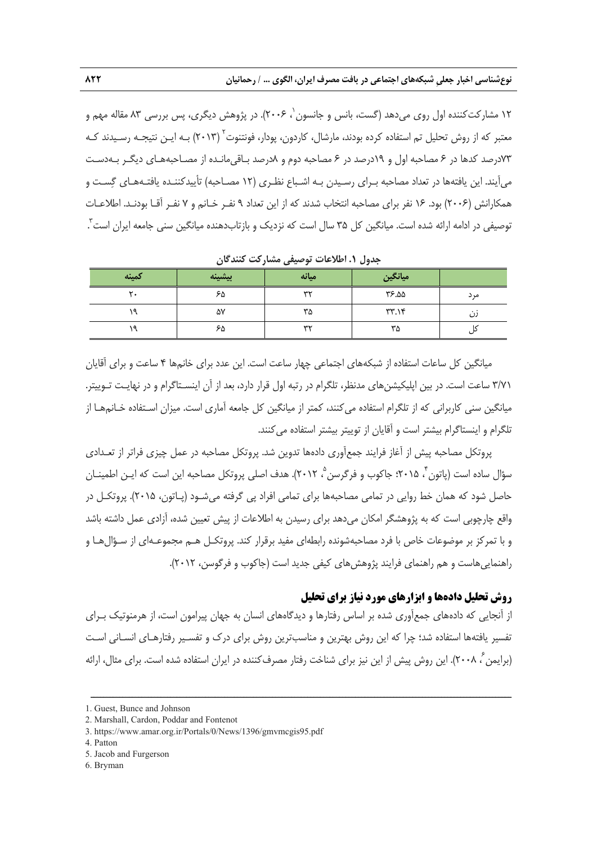۱۲ مشار *کت ک*ننده اول روی میدهد (گست، بانس و جانسون <sup>٬</sup> ۲۰۰۶). در پژوهش دیگری، پس بررسی ۸۳ مقاله مهم و معتبر كه از روش تحليل تم استفاده كرده بودند، مارشال، كاردون، پودار، فونتنوت<sup>٬</sup> (۲۰۱۳) بـه ايـن نتيجـه رسـيدند كـه 73درصد كدها در 6 مصاحبه اول و 19درصد در 6 مصاحبه دوم و 8درصد بـاقيمانـده از مصـاحبههـاي ديگـر بـهدسـت ميآيند. اين يافتهها در تعداد مصاحبه بـراي رسـيدن بـه اشـباع نظـري (12 مصـاحبه) تأييدكننـده يافتـههـاي گسـت و همكارانش (2006) بود. 16 نفر براي مصاحبه انتخاب شدند كه از اين تعداد 9 نفـر خـانم و 7 نفـر آقـا بودنـد. اطلاعـات توصيفي در ادامه ارائه شده است. ميانگين كل ۳۵ سال است كه نزديک و بازتابدهنده ميانگين سني جامعه ايران است ً.

| كمينه | ىشىنە<br>$\overline{1}$ | ميانه | ميانگين |      |
|-------|-------------------------|-------|---------|------|
|       | ۶۵                      | wv    | ۵۵.۲۶   | مر د |
|       | ۵٧                      | ۳۵    | TT.14   |      |
|       | ۶۵                      | ww    | ۳۵      |      |

**جدول .1 اطلاعات توصيفي مشاركت كنندگان** 

ميانگين كل ساعات استفاده از شبكههاي اجتماعي چهار ساعت است. اين عدد براي خانمها 4 ساعت و براي آقايان 3/71 ساعت است. در بين اپليكيشنهاي مدنظر، تلگرام در رتبه اول قرار دارد، بعد از آن اينسـتاگرام و در نهايـت تـوييتر. ميانگين سني كاربراني كه از تلگرام استفاده ميكنند، كمتر از ميانگين كل جامعه آماري است. ميزان اسـتفاده خـانمهـا از تلگرام و اينستاگرام بيشتر است و آقايان از توييتر بيشتر استفاده ميكنند.

پروتكل مصاحبه پيش از آغاز فرايند جمعآوري دادهها تدوين شد. پروتكل مصاحبه در عمل چيزي فراتر از تعـدادي سؤال ساده است (پاتون "، ۲۰۱۵؛ جاكوب و فرگرسن °، ۲۰۱۲). هدف اصلي پروتكل مصاحبه اين است كه ايـن اطمينــان حاصل شود كه همان خط روايي در تمامي مصاحبهها براي تمامي افراد پي گرفته ميشـود (پـاتون، 2015). پروتكـل در واقع چارچوبي است كه به پژوهشگر امكان ميدهد براي رسيدن به اطلاعات از پيش تعيين شده، آزادي عمل داشته باشد و با تمركز بر موضوعات خاص با فرد مصاحبهشونده رابطهاي مفيد برقرار كند. پروتكـل هـم مجموعـهاي از سـؤالهـا و راهنماييهاست و هم راهنماي فرايند پژوهشهاي كيفي جديد است (جاكوب و فرگوسن، 2012).

#### **روش تحليل دادهها و ابزارهاي مورد نياز براي تحليل**

از آنجايي كه دادههاي جمعآوري شده بر اساس رفتارها و ديدگاههاي انسان به جهان پيرامون است، از هرمنوتيك بـراي تفسير يافتهها استفاده شد؛ چرا كه اين روش بهترين و مناسبترين روش براي درك و تفسـير رفتارهـاي انسـاني اسـت (برايمن ً، ٢٠٠٨). اين روش پيش از اين نيز براي شناخت رفتار مصرف كننده در ايران استفاده شده است. براي مثال، ارائه

<sup>1.</sup> Guest, Bunce and Johnson

<sup>2.</sup> Marshall, Cardon, Poddar and Fontenot

<sup>3.</sup> https://www.amar.org.ir/Portals/0/News/1396/gmvmcgis95.pdf

<sup>4.</sup> Patton

<sup>5.</sup> Jacob and Furgerson

<sup>6.</sup> Bryman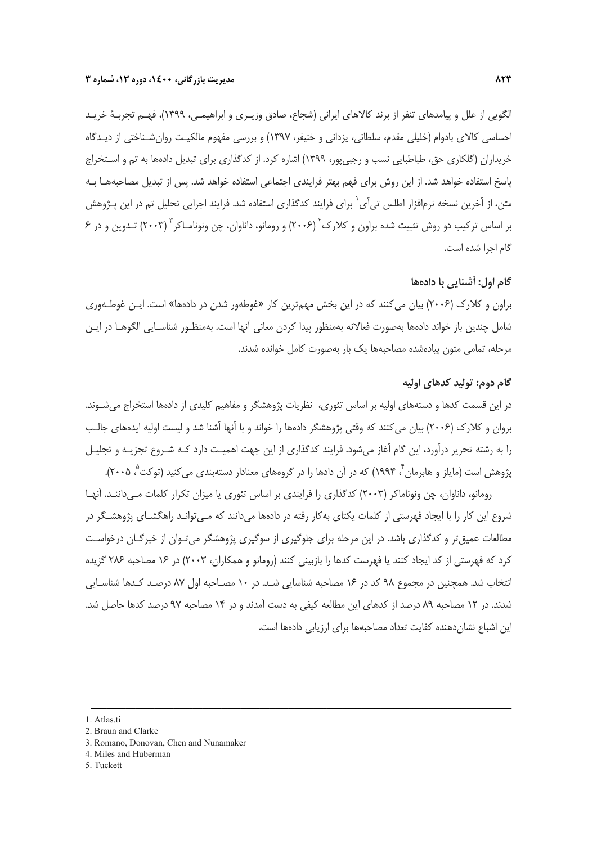الگويي از علل و پيامدهاي تنفر از برند كالاهاي ايراني (شجاع، صادق وزيـري و ابراهيمـي، 1399)، فهـم تجربـة خريـد احساسي كالاي بادوام (خليلي مقدم، سلطاني، يزداني و خنيفر، 1397) و بررسي مفهوم مالكيـت روانشـناختي از ديـدگاه خريداران (گلكاري حق، طباطبايي نسب و رجبيپور، 1399) اشاره كرد. از كدگذاري براي تبديل دادهها به تم و اسـتخراج پاسخ استفاده خواهد شد. از اين روش براي فهم بهتر فرايندي اجتماعي استفاده خواهد شد. پس از تبديل مصاحبههـا بـه متن، از آخرين نسخه نرم|فزار اطلس تي]ى` براي فرايند كدگذاري استفاده شد. فرايند اجرايي تحليل تم در اين پـژوهش بر اساس تركيب دو روش تثبيت شده براون و كلارک<sup>۲</sup> (۲۰۰۶) و رومانو، داناوان، چن ونونامـاکر<sup>۳</sup> (۲۰۰۳) تـدوين و در ۶ گام اجرا شده است.

#### **گام اول : آشنايي با دادهها**

براون و كلارك (2006) بيان ميكنند كه در اين بخش مهمترين كار «غوطهور شدن در دادهها» است. ايـن غوطـهوري شامل چندين باز خواند دادهها بهصورت فعالانه بهمنظور پيدا كردن معاني آنها است. بهمنظـور شناسـايي الگوهـا در ايـن مرحله، تمامي متون پيادهشده مصاحبهها يك بار بهصورت كامل خوانده شدند.

#### **گام دوم: توليد كدهاي اوليه**

در اين قسمت كدها و دستههاي اوليه بر اساس تئوري، نظريات پژوهشگر و مفاهيم كليدي از دادهها استخراج ميشـوند. بروان و كلارك (2006) بيان ميكنند كه وقتي پژوهشگر دادهها را خواند و با آنها آشنا شد و ليست اوليه ايدههاي جالـب را به رشته تحرير درآورد، اين گام آغاز ميشود. فرايند كدگذاري از اين جهت اهميـت دارد كـه شـروع تجزيـه و تجليـل پژوهش است (مايلز و هابرمان <sup>۲</sup>، ۱۹۹۴) كه در آن دادها را در گروههاي معنادار دستهبندي مي كنيد (توكت <sup>۵</sup>، ۲۰۰۵).

رومانو، داناوان، چن ونوناماكر (2003) كدگذاري را فرايندي بر اساس تئوري يا ميزان تكرار كلمات مـيداننـد. آنهـا شروع اين كار را با ايجاد فهرستي از كلمات يكتاي بهكار رفته در دادهها ميدانند كه مـيتوانـد راهگشـاي پژوهشـگر در مطالعات عميقتر و كدگذاري باشد. در اين مرحله براي جلوگيري از سوگيري پژوهشگر ميتـوان از خبرگـان درخواسـت كرد كه فهرستي از كد ايجاد كنند يا فهرست كدها را بازبيني كنند (رومانو و همكاران، 2003) در 16 مصاحبه 286 گزيده انتخاب شد. همچنين در مجموع 98 كد در 16 مصاحبه شناسايي شـد. در 10 مصـاحبه اول 87 درصـد كـدها شناسـايي شدند. در 12 مصاحبه 89 درصد از كدهاي اين مطالعه كيفي به دست آمدند و در 14 مصاحبه 97 درصد كدها حاصل شد. اين اشباع نشاندهنده كفايت تعداد مصاحبهها براي ارزيابي دادهها است.

ــــــــــــــــــــــــــــــــــــــــــــــــــــــــــــــــــــــــــــــــــــــــــــــــــــــــــــــــــــــــــــــــــــ

5. Tuckett

<sup>1.</sup> Atlas.ti

<sup>2.</sup> Braun and Clarke

<sup>3.</sup> Romano, Donovan, Chen and Nunamaker

<sup>4.</sup> Miles and Huberman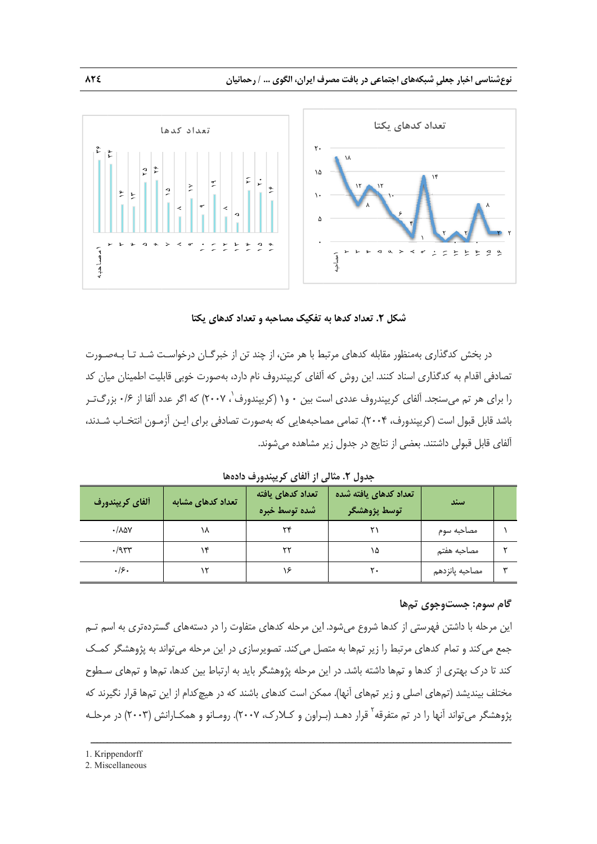



در بخش كدگذارى بهمنظور مقابله كدهاى مرتبط با هر متن، از چند تن از خبرگــان درخواسـت شــد تــا بــهصــورت نصادفي اقدام به كدگذارى اسناد كنند. اين روش كه آلفاى كريپندروف نام دارد، بهصورت خوبي قابليت اطمينان ميان كد را برای هر تم میسنجد. آلفای کریپندروف عددی است بین ۰ و۱ (کریپندورف<sup>'</sup>، ۲۰۰۷) که اگر عدد آلفا از ۰/۶ بزرگ *تـ*ر باشد قابل قبول است (کریپندورف، ۲۰۰۴). تمامی مصاحبههایی که بهصورت تصادفی برای ایـن اَزمـون انتخـاب شـدند، ألفای قابل قبولی داشتند. بعضی از نتایج در جدول زیر مشاهده میشوند.

**ندورف دادهها ي از آلفاي كريپن جدول .2 مثالي**

| ألفاي كريپندورف                | تعداد کدهای مشابه | تعداد كدهاى يافته<br>أشده توسط خبره | تعداد كدهاى يافته شده<br>توسط پژوهشگر | اسند           |  |
|--------------------------------|-------------------|-------------------------------------|---------------------------------------|----------------|--|
| $\cdot$ / $\lambda$ $\Delta V$ | ۱۸                | ٣۴                                  |                                       | مصاحبه سوم     |  |
| $\cdot$ /954                   |                   | ٢٢                                  | ۱۵                                    | مصاحبه هفتم    |  |
| .19.                           |                   | ۱۶                                  | ۲۰                                    | مصاحبه پانزدهم |  |

#### **وي تمها وم: جستوجو گام سو**

ــــــــــــــــــ

ـــــــــ

ّين مرحله با داشتن فهرستي از كدها شروع ميشود. اين مرحله كدهاي متفاوت را در دستههاي گستردهتري به اسم تــم جمع مي كند و تمام كدهاى مرتبط را زير تمها به متصل مي كند. تصويرسازى در اين مرحله مي تواند به پژوهشگر كمـك كند تا درک بهتری از كدها و تمها داشته باشد. در اين مرحله پژوهشگر بايد به ارتباط بين كدها، تمها و تمهای سـطوح مختلف بينديشد (تمهاى اصلى و زير تمهاى أنها). ممكن است كدهاى باشند كه در هيچكدام از اين تمها قرار نگيرند كه مرحلـه ش (2003) در م ـانو و همكـارانش ك، 2007). رومـ ـراون و كـلارك ه قرار دهـد (بـ <sup>2</sup> را در تم متفرقهــــــــــــــــــ گر ميتواند آنها پژوهشگ ــــــــــــــــــ

ــــــــــــــــــ

ــــــــــــــــــ

ــــــــــــــــــ

ــــــــــــــــــ

ــــــ

2. Miscellaneous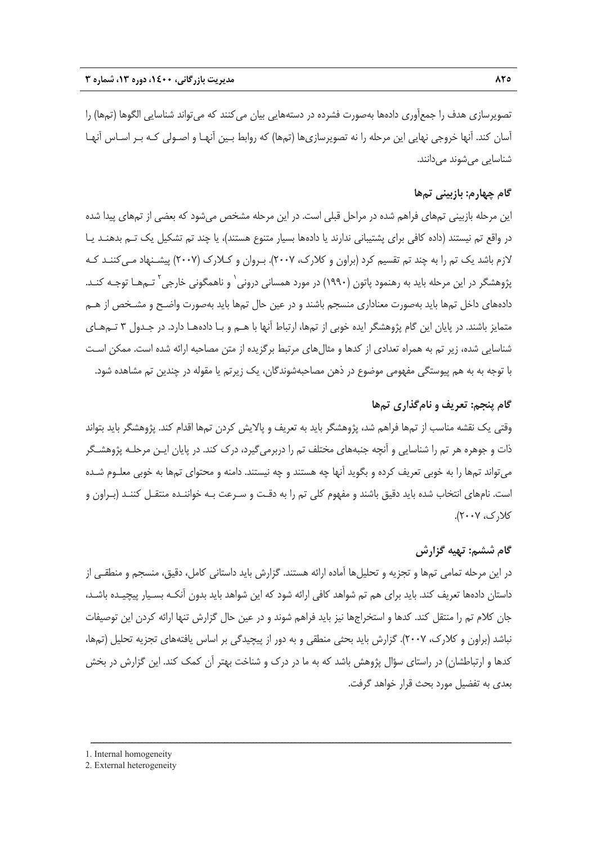تصويرسازي هدف را جمعآوري دادهها بهصورت فشرده در دستههايي بيان مي كنند كه مي تواند شناسايي الگوها (تمها) را آسان كند. آنها خروجي نهايي اين مرحله را نه تصويرسازيها (تمها) كه روابط بـين آنهـا و اصـولي كـه بـر اسـاس آنهـا شناسايي ميشوند ميدانند.

#### **گام چهارم: بازبيني تمها**

اين مرحله بازبيني تمهاي فراهم شده در مراحل قبلي است. در اين مرحله مشخص ميشود كه بعضي از تمهاي پيدا شده در واقع تم نيستند (داده كافي براي پشتيباني ندارند يا دادهها بسيار متنوع هستند)، يا چند تم تشكيل يك تـم بدهنـد يـا لازم باشد يك تم را به چند تم تقسيم كرد (براون و كلارك، 2007). بـروان و كـلارك (2007) پيشـنهاد مـيكننـد كـه بژوهشگر در اين مرحله بايد به رهنمود پاتون (١٩٩٠) در مورد همسانی درونی` و ناهمگونی خارجی<sup>۲</sup> تـمهـا توجـه كنـد. دادههاي داخل تمها بايد بهصورت معناداري منسجم باشند و در عين حال تمها بايد بهصورت واضـح و مشـخص از هـم متمايز باشند. در پايان اين گام پژوهشگر ايده خوبي از تمها، ارتباط آنها با هـم و بـا دادههـا دارد. در جـدول 3 تـمهـاي شناسايي شده، زير تم به همراه تعدادي از كدها و مثالهاي مرتبط برگزيده از متن مصاحبه ارائه شده است. ممكن اسـت با توجه به به هم پيوستگي مفهومي موضوع در ذهن مصاحبهشوندگان، يك زيرتم يا مقوله در چندين تم مشاهده شود.

#### **گام پنجم: تعريف و نامگذاري تمها**

وقتي يك نقشه مناسب از تمها فراهم شد، پژوهشگر بايد به تعريف و پالايش كردن تمها اقدام كند. پژوهشگر بايد بتواند ذات و جوهره هر تم را شناسايي و آنچه جنبههاي مختلف تم را دربرميگيرد، درك كند. در پايان ايـن مرحلـه پژوهشـگر ميتواند تمها را به خوبي تعريف كرده و بگويد آنها چه هستند و چه نيستند. دامنه و محتواي تمها به خوبي معلـوم شـده است. نامهاي انتخاب شده بايد دقيق باشند و مفهوم كلي تم را به دقـت و سـرعت بـه خواننـده منتقـل كننـد (بـراون و كلارك، 2007).

#### **گام ششم: تهيه گزارش**

در اين مرحله تمامي تمها و تجزيه و تحليلها آماده ارائه هستند. گزارش بايد داستاني كامل، دقيق، منسجم و منطقـي از داستان دادهها تعريف كند. بايد براي هم تم شواهد كافي ارائه شود كه اين شواهد بايد بدون آنكـه بسـيار پيچيـده باشـد، جان كلام تم را منتقل كند. كدها و استخراجها نيز بايد فراهم شوند و در عين حال گزارش تنها ارائه كردن اين توصيفات نباشد (براون و كلارك، 2007). گزارش بايد بحثي منطقي و به دور از پيچيدگي بر اساس يافتههاي تجزيه تحليل (تمها، كدها و ارتباطشان) در راستاي سؤال پژوهش باشد كه به ما در درك و شناخت بهتر آن كمك كند. اين گزارش در بخش بعدي به تفضيل مورد بحث قرار خواهد گرفت.

ــــــــــــــــــــــــــــــــــــــــــــــــــــــــــــــــــــــــــــــــــــــــــــــــــــــــــــــــــــــــــــــــــــ

1. Internal homogeneity

<sup>2.</sup> External heterogeneity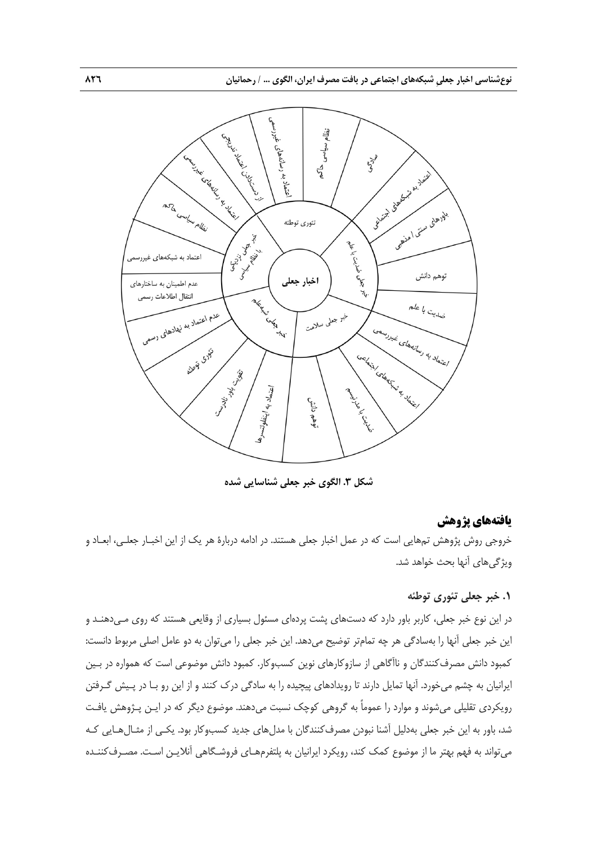

**شكل .3 الگوي خبر جعلي شناسايي شده**

#### **يافتههاي پژوهش**

خروجي روش پژوهش تمهايي است كه در عمل اخبار جعلي هستند. در ادامه دربارة هر يك از اين اخبـار جعلـي، ابعـاد و ويژگيهاي آنها بحث خواهد شد.

#### **.1 خبر جعلي تئوري توطئه**

در اين نوع خبر جعلي، كاربر باور دارد كه دستهاي پشت پردهاي مسئول بسياري از وقايعي هستند كه روي مـيدهنـد و اين خبر جعلي آنها را بهسادگي هر چه تمامتر توضيح ميدهد. اين خبر جعلي را ميتوان به دو عامل اصلي مربوط دانست: كمبود دانش مصرفكنندگان و ناآگاهي از سازوكارهاي نوين كسبوكار. كمبود دانش موضوعي است كه همواره در بـين ايرانيان به چشم ميخورد. آنها تمايل دارند تا رويدادهاي پيچيده را به سادگي درك كنند و از اين رو بـا در پـيش گـرفتن رويكردي تقليلي ميشوند و موارد را عموماً به گروهي كوچك نسبت ميدهند. موضوع ديگر كه در ايـن پـژوهش يافـت شد، باور به اين خبر جعلي بهدليل آشنا نبودن مصرفكنندگان با مدلهاي جديد كسبوكار بود. يكـي از مثـالهـايي كـه ميتواند به فهم بهتر ما از موضوع كمك كند، رويكرد ايرانيان به پلتفرمهـاي فروشـگاهي آنلايـن اسـت. مصـرفكننـده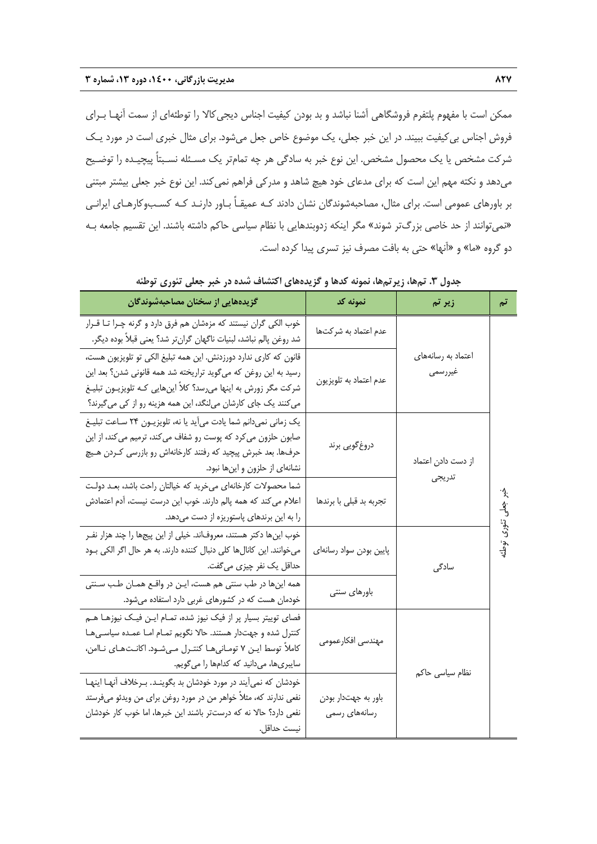ممكن است با مفهوم پلتفرم فروشگاهي آشنا نباشد و بد بودن كيفيت اجناس ديجيكالا را توطئهاي از سمت آنهـا بـراي فروش اجناس بيكيفيت ببيند. در اين خبر جعلي، يك موضوع خاص جعل ميشود. براي مثال خبري است در مورد يـك شركت مشخص يا يك محصول مشخص. اين نوع خبر به سادگي هر چه تمامتر يك مسـئله نسـبتاً پيچيـده را توضـيح ميدهد و نكته مهم اين است كه براي مدعاي خود هيچ شاهد و مدركي فراهم نميكند. اين نوع خبر جعلي بيشتر مبتني بر باورهاي عمومي است. براي مثال، مصاحبهشوندگان نشان دادند كـه عميقـاً بـاور دارنـد كـه كسـبوكارهـاي ايرانـي «نميتوانند از حد خاصي بزرگتر شوند» مگر اينكه زدوبندهايي با نظام سياسي حاكم داشته باشند. اين تقسيم جامعه بـه دو گروه «ما» و «آنها» حتي به بافت مصرف نيز تسري پيدا كرده است.

| گزیدههایی از سخنان مصاحبهشوندگان                                                                                                                                                                                                                                         | نمونه کد                             | زیر تم                        | تم                   |
|--------------------------------------------------------------------------------------------------------------------------------------------------------------------------------------------------------------------------------------------------------------------------|--------------------------------------|-------------------------------|----------------------|
| خوب الکی گران نیستند که مزهشان هم فرق دارد و گرنه چـرا تـا قـرار<br>شد روغن پالم نباشد، لبنيات ناگهان گرانتر شد؟ يعني قبلاً بوده ديگر.                                                                                                                                   | عدم اعتماد به شركتها                 |                               |                      |
| قانون که کاری ندارد دورزدنش. این همه تبلیغ الکی تو تلویزیون هست،<br>رسید به این روغن که میگوید تراریخته شد همه قانونی شدن؟ بعد این<br>شرکت مگر زورش به اینها میرسد؟ کلاً اینهایی کـه تلویزیــون تبلیــغ<br>می کنند یک جای کارشان میلنگد، این همه هزینه رو از کی میگیرند؟ | عدم اعتماد به تلويزيون               | اعتماد به رسانههای<br>غيررسمي |                      |
| یک زمانی نمیدانم شما یادت میآید یا نه، تلویزیـون ۲۴ سـاعت تبلیـغ<br>صابون حلزون میکرد که پوست رو شفاف میکند، ترمیم میکند، از این<br>حرفها. بعد خبرش پیچید که رفتند کارخانهاش رو بازرسی کـردن هـیچ<br>نشانهای از حلزون و اینها نبود.                                      | دروغ گويي برند                       | از دست دادن اعتماد            |                      |
| شما محصولات كارخانهاي مىخريد كه خيالتان راحت باشد، بعـد دولـت<br>اعلام می کند که همه پالم دارند. خوب این درست نیست، آدم اعتمادش<br>را به این برندهای پاستوریزه از دست میدهد.                                                                                             | تجربه بد قبلی با برندها              | تدريجي                        | $\overrightarrow{3}$ |
| خوب اینها دکتر هستند، معروفاند. خیلی از این پیجها را چند هزار نفـر<br>میخوانند. این کانالها کلی دنبال کننده دارند. به هر حال اگر الکی بـود<br>حداقل یک نفر چیزی میگفت.                                                                                                   | پایین بودن سواد رسانهای              | سادگی                         | تئورى توطئا          |
| همه اینها در طب سنتی هم هست، ایـن در واقـع همـان طـب سـنتی<br>خودمان هست که در کشورهای غربی دارد استفاده میشود.                                                                                                                                                          | باورهاى سنتى                         |                               |                      |
| فصای توییتر بسیار پر از فیک نیوز شده، تمـام ایـن فیـک نیوزهـا هـم<br>کنترل شده و جهتدار هستند. حالا نگویم تمـام امـا عمـده سیاسـیهـا<br>کاملاً توسط ایـن ۷ تومـانیهـا کنتـرل مـیشـود. اکانـتهـای نـاامن،<br>سایبریها، میدانید که کدامها را میگویم.                       | مهندسي افكارعمومي                    | نظام سیاسی حاکم               |                      |
| خودشان که نمیآیند در مورد خودشان بد بگوینـد. بـرخلاف آنهـا اینهـا<br>نفعی ندارند که، مثلاً خواهر من در مورد روغن برای من ویدئو میفرستد<br>نفعی دارد؟ حالا نه که درستتر باشند این خبرها، اما خوب کار خودشان<br>نيست حداقل.                                                | باور به جهتدار بودن<br>رسانههای رسمی |                               |                      |

**جدول .3 تمها، زيرتمها، نمونه كدها و گزيدههاي اكتشاف شده در خبر جعلي تئوري توطئه**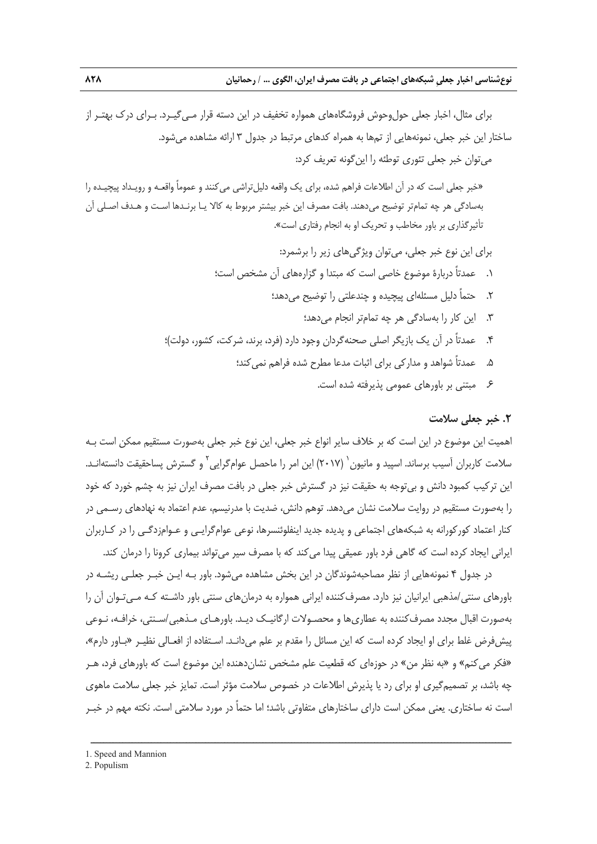براي مثال، اخبار جعلي حولوحوش فروشگاههاي همواره تخفيف در اين دسته قرار مـيگيـرد. بـراي درك بهتـر از ساختار اين خبر جعلي، نمونههايي از تمها به همراه كدهاي مرتبط در جدول 3 ارائه مشاهده ميشود. ميتوان خبر جعلي تئوري توطئه را اينگونه تعريف كرد: «خبر جعلي است كه در آن اطلاعات فراهم شده، براي يك واقعه دليلتراشي ميكنند و عموماً واقعـه و رويـداد پيچيـده را بهسادگي هر چه تمامتر توضيح ميدهند. بافت مصرف اين خبر بيشتر مربوط به كالا يـا برنـدها اسـت و هـدف اصـلي آن تأثيرگذاري بر باور مخاطب و تحريك او به انجام رفتاري است». براي اين نوع خبر جعلي، ميتوان ويژگيهاي زير را برشمرد: .1 عمدتاً دربارة موضوع خاصي است كه مبتدا و گزارههاي آن مشخص است؛ .2 حتماً دليل مسئلهاي پيچيده و چندعلتي را توضيح ميدهد؛ .3 اين كار را بهسادگي هر چه تمامتر انجام ميدهد؛ .4 عمدتاً در آن يك بازيگر اصلي صحنهگردان وجود دارد (فرد، برند، شركت، كشور، دولت)؛ .5 عمدتاً شواهد و مداركي براي اثبات مدعا مطرح شده فراهم نميكند؛ .6 مبتني بر باورهاي عمومي پذيرفته شده است.

#### **.2 خبر جعلي سلامت**

اهميت اين موضوع در اين است كه بر خلاف ساير انواع خبر جعلي، اين نوع خبر جعلي بهصورت مستقيم ممكن است بـه سلامت كاربران آسيب برساند. اسپيد و مانيون` (٢٠١٧) اين امر را ماحصل عوامگرايي ` و گسترش پساحقيقت دانستهانـد. اين تركيب كمبود دانش و بيتوجه به حقيقت نيز در گسترش خبر جعلي در بافت مصرف ايران نيز به چشم خورد كه خود را بهصورت مستقيم در روايت سلامت نشان ميدهد. توهم دانش، ضديت با مدرنيسم، عدم اعتماد به نهادهاي رسـمي در كنار اعتماد كوركورانه به شبكههاي اجتماعي و پديده جديد اينفلوئنسرها، نوعي عوامگرايـي و عـوامزدگـي را در كـاربران ايراني ايجاد كرده است كه گاهي فرد باور عميقي پيدا مي كند كه با مصرف سير ميتواند بيماري كرونا را درمان كند.

در جدول 4 نمونههايي از نظر مصاحبهشوندگان در اين بخش مشاهده ميشود. باور بـه ايـن خبـر جعلـي ريشـه در باورهاي سنتي/مذهبي ايرانيان نيز دارد. مصرفكننده ايراني همواره به درمانهاي سنتي باور داشـته كـه مـيتـوان آن را بهصورت اقبال مجدد مصرفكننده به عطاريها و محصـولات ارگانيـك ديـد. باورهـاي مـذهبي/سـنتي، خرافـه، نـوعي پيشفرض غلط براي او ايجاد كرده است كه اين مسائل را مقدم بر علم ميدانـد. اسـتفاده از افعـالي نظيـر «بـاور دارم»، «فكر ميكنم» و «به نظر من» در حوزهاي كه قطعيت علم مشخص نشاندهنده اين موضوع است كه باورهاي فرد، هـر چه باشد، بر تصميمگيري او براي رد يا پذيرش اطلاعات در خصوص سلامت مؤثر است. تمايز خبر جعلي سلامت ماهوي است نه ساختاري. يعني ممكن است داراي ساختارهاي متفاوتي باشد؛ اما حتماً در مورد سلامتي است. نكته مهم در خبـر

<sup>1.</sup> Speed and Mannion

<sup>2.</sup> Populism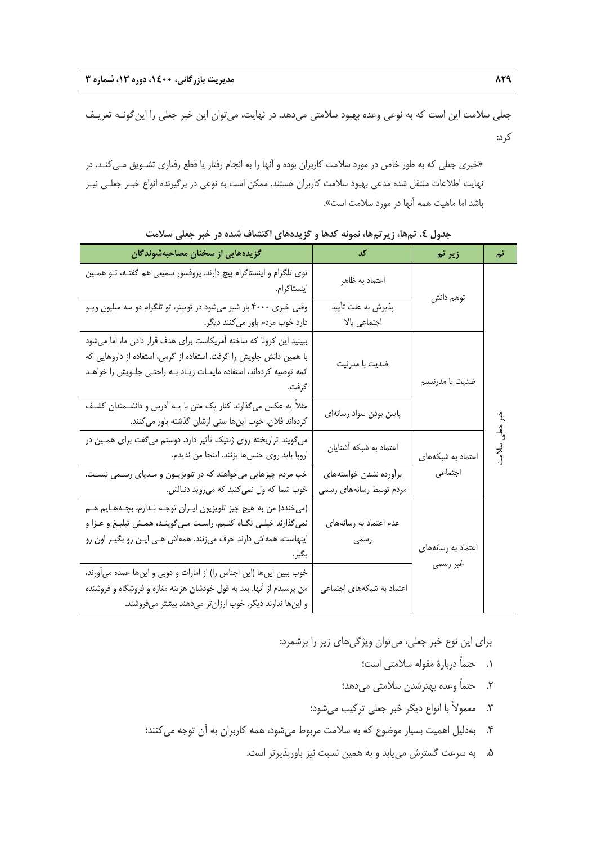جعلي سلامت اين است كه به نوعي وعده بهبود سلامتي ميدهد. در نهايت، ميتوان اين خبر جعلي را اينگونـه تعريـف كرد:

«خبري جعلي كه به طور خاص در مورد سلامت كاربران بوده و آنها را به انجام رفتار يا قطع رفتاري تشـويق مـيكنـد. در نهايت اطلاعات منتقل شده مدعي بهبود سلامت كاربران هستند. ممكن است به نوعي در برگيرنده انواع خبـر جعلـي نيـز باشد اما ماهيت همه آنها در مورد سلامت است».

| گزیدههایی از سخنان مصاحبهشوندگان                                                                                                                                                                                                 | کد                                                | زیر تم             | تم            |
|----------------------------------------------------------------------------------------------------------------------------------------------------------------------------------------------------------------------------------|---------------------------------------------------|--------------------|---------------|
| توی تلگرام و اینستاگرام پیچ دارند. پروفسور سمیعی هم گفتـه، تــو همــین<br>اينستاگرام.                                                                                                                                            | اعتماد به ظاهر                                    | توهم دانش          |               |
| وقتی خبری ۴۰۰۰ بار شیر میشود در توییتر، تو تلگرام دو سه میلیون ویـو<br>دارد خوب مردم باور میکنند دیگر.                                                                                                                           | پذیرش به علت تأیید<br>اجتماعي بالا                |                    |               |
| ببینید این کرونا که ساخته آمریکاست برای هدف قرار دادن ما، اما میشود<br>با همین دانش جلویش را گرفت. استفاده از گرمی، استفاده از داروهایی که<br>ائمه توصیه کردهاند، استفاده مایعـات زیـاد بــه راحتــی جلــویش را خواهــد<br>گرفت. | ضديت با مدرنيت                                    | ضديت با مدرنيسم    |               |
| مثلاً یه عکس میگذارند کنار یک متن با یـه آدرس و دانشـمندان کشـف<br>کردهاند فلان. خوب اینها سنی ازشان گذشته باور میکنند.                                                                                                          | پایین بودن سواد رسانهای                           |                    |               |
| میگویند تراریخته روی ژنتیک تأثیر دارد. دوستم میگفت برای همـین در<br>اروپا بايد روى جنسها بزنند. اينجا من نديدم.                                                                                                                  | اعتماد به شبکه آشنایان                            | اعتماد به شبکههای  | خبر جلی سلامت |
| خب مردم چیزهایی میخواهند که در تلویزیـون و مـدیای رسـمی نیسـت.<br>خوب شما كه ول نمي كنيد كه مي ويد دنبالش.                                                                                                                       | برأورده نشدن خواستههاى<br>مردم توسط رسانههای رسمی | اجتماعى            |               |
| (میخندد) من به هیچ چیز تلویزیون ایـران توجـه نـدارم، بچـههـایم هـم<br>نمیگذارند خیلـی نگـاه کنـیم. راسـت مـیگوینـد، همـش تبلیـغ و عـزا و<br>اینهاست، همهاش دارند حرف میزنند. همهاش هـی ایـن رو بگیـر اون رو                      | عدم اعتماد به رسانههای<br>رسمی                    | اعتماد به رسانههای |               |
| خوب ببین اینها (این اجناس را) از امارات و دوبی و اینها عمده میآورند،<br>من پرسیدم از آنها. بعد به قول خودشان هزینه مغازه و فروشگاه و فروشنده<br>و اینها ندارند دیگر. خوب ارزانتر میدهند بیشتر میفروشند.                          | اعتماد به شبکههای اجتماعی                         | غیر رسمی           |               |

**جدول .4 تمها، زيرتمها، نمونه كدها و گزيدههاي اكتشاف شده در خبر جعلي سلامت** 

براي اين نوع خبر جعلي، ميتوان ويژگيهاي زير را برشمرد:

- .1 حتماً دربارة مقوله سلامتي است؛
- .2 حتماً وعده بهترشدن سلامتي ميدهد؛
- .3 معمولاً با انواع ديگر خبر جعلي تركيب ميشود؛
- .4 بهدليل اهميت بسيار موضوع كه به سلامت مربوط ميشود، همه كاربران به آن توجه ميكنند؛
	- .5 به سرعت گسترش مييابد و به همين نسبت نيز باورپذيرتر است.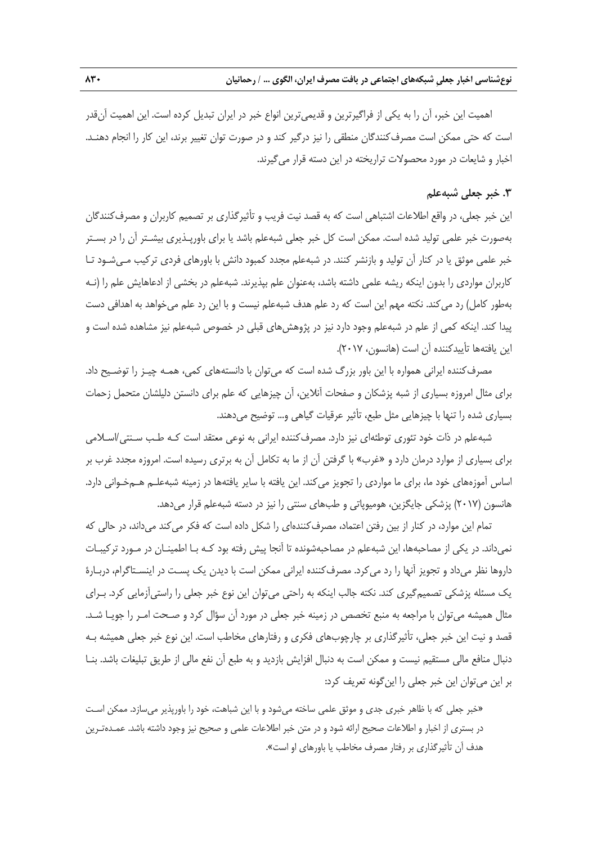اهميت اين خبر، آن را به يكي از فراگيرترين و قديميترين انواع خبر در ايران تبديل كرده است. اين اهميت آنقدر است كه حتي ممكن است مصرفكنندگان منطقي را نيز درگير كند و در صورت توان تغيير برند، اين كار را انجام دهنـد. اخبار و شايعات در مورد محصولات تراريخته در اين دسته قرار ميگيرند.

### **.3 خبر جعلي شبهعلم**

اين خبر جعلي، در واقع اطلاعات اشتباهي است كه به قصد نيت فريب و تأثيرگذاري بر تصميم كاربران و مصرفكنندگان بهصورت خبر علمي توليد شده است. ممكن است كل خبر جعلي شبهعلم باشد يا براي باورپـذيري بيشـتر آن را در بسـتر خبر علمي موثق يا در كنار آن توليد و بازنشر كنند. در شبهعلم مجدد كمبود دانش با باورهاي فردي تركيب مـيشـود تـا كاربران مواردي را بدون اينكه ريشه علمي داشته باشد، بهعنوان علم بپذيرند. شبهعلم در بخشي از ادعاهايش علم را (نـه بهطور كامل) رد ميكند. نكته مهم اين است كه رد علم هدف شبهعلم نيست و با اين رد علم ميخواهد به اهدافي دست پيدا كند. اينكه كمي از علم در شبهعلم وجود دارد نيز در پژوهشهاي قبلي در خصوص شبهعلم نيز مشاهده شده است و اين يافتهها تأييدكننده آن است (هانسون، 2017).

مصرفكننده ايراني همواره با اين باور بزرگ شده است كه ميتوان با دانستههاي كمي، همـه چيـز را توضـيح داد. براي مثال امروزه بسياري از شبه پزشكان و صفحات آنلاين، آن چيزهايي كه علم براي دانستن دليلشان متحمل زحمات بسياري شده را تنها با چيزهايي مثل طبع، تأثير عرقيات گياهي و... توضيح ميدهند.

شبهعلم در ذات خود تئوري توطئهاي نيز دارد. مصرفكننده ايراني به نوعي معتقد است كـه طـب سـنتي/اسـلامي براي بسياري از موارد درمان دارد و «غرب» با گرفتن آن از ما به تكامل آن به برتري رسيده است. امروزه مجدد غرب بر اساس آموزههاي خود ما، براي ما مواردي را تجويز ميكند. اين يافته با ساير يافتهها در زمينه شبهعلـم هـمخـواني دارد. هانسون (2017) پزشكي جايگزين، هوميوپاتي و طبهاي سنتي را نيز در دسته شبهعلم قرار ميدهد.

تمام اين موارد، در كنار از بين رفتن اعتماد، مصرفكنندهاي را شكل داده است كه فكر ميكند ميداند، در حالي كه نميداند. در يكي از مصاحبهها، اين شبهعلم در مصاحبهشونده تا آنجا پيش رفته بود كـه بـا اطمينـان در مـورد تركيبـات داروها نظر ميداد و تجويز آنها را رد ميكرد. مصرفكننده ايراني ممكن است با ديدن يك پسـت در اينسـتاگرام، دربـارة يك مسئله پزشكي تصميمگيري كند. نكته جالب اينكه به راحتي ميتوان اين نوع خبر جعلي را راستيآزمايي كرد. بـراي مثال هميشه ميتوان با مراجعه به منبع تخصص در زمينه خبر جعلي در مورد آن سؤال كرد و صـحت امـر را جويـا شـد. قصد و نيت اين خبر جعلي، تأثيرگذاري بر چارچوبهاي فكري و رفتارهاي مخاطب است. اين نوع خبر جعلي هميشه بـه دنبال منافع مالي مستقيم نيست و ممكن است به دنبال افزايش بازديد و به طبع آن نفع مالي از طريق تبليغات باشد. بنـا بر اين ميتوان اين خبر جعلي را اينگونه تعريف كرد:

«خبر جعلي كه با ظاهر خبري جدي و موثق علمي ساخته ميشود و با اين شباهت، خود را باورپذير ميسازد. ممكن اسـت در بستري از اخبار و اطلاعات صحيح ارائه شود و در متن خبر اطلاعات علمي و صحيح نيز وجود داشته باشد. عمـدهتـرين هدف آن تأثيرگذاري بر رفتار مصرف مخاطب يا باورهاي او است».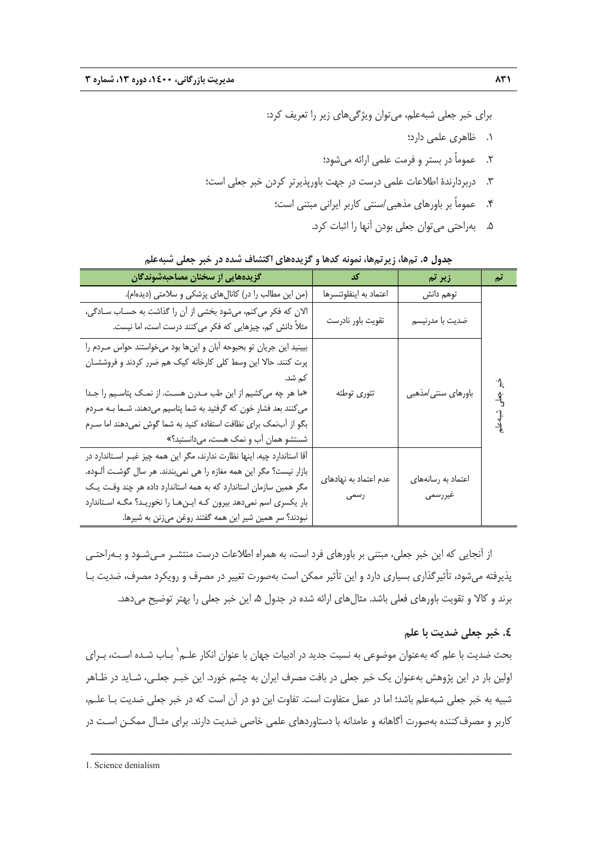براي خبر جعلي شبهعلم، ميتوان ويژگيهاي زير را تعريف كرد: .1 ظاهري علمي دارد؛ .2 عموماً در بستر و فرمت علمي ارائه ميشود؛ .3 دربردارندة اطلاعات علمي درست در جهت باورپذيرتر كردن خبر جعلي است؛ .4 عموماً بر باورهاي مذهبي/سنتي كاربر ايراني مبتني است؛

.5 بهراحتي ميتوان جعلي بودن آنها را اثبات كرد.

| گزیدههایی از سخنان مصاحبهشوندگان                                                                                                                                                                                                                                                                                                                                                                         | کد                            | زیر تم                        | تم                |
|----------------------------------------------------------------------------------------------------------------------------------------------------------------------------------------------------------------------------------------------------------------------------------------------------------------------------------------------------------------------------------------------------------|-------------------------------|-------------------------------|-------------------|
| (من این مطالب را در) کانالهای پزشکی و سلامتی (دیدهام).                                                                                                                                                                                                                                                                                                                                                   | اعتماد به اينفلوئنسرها        | توهم دانش                     |                   |
| الان که فکر میکنم، میشود بخشی از آن را گذاشت به حسـاب سـادگی،<br>مثلاً دانش کم، چیزهایی که فکر میکنند درست است، اما نیست.                                                                                                                                                                                                                                                                                | تقويت باور نادرست             | ضديت با مدرنيسم               |                   |
| بیینید این جریان تو بحبوحه أبان و اینها بود میخواستند حواس مـردم را<br>پرت کنند. حالا این وسط کلی کارخانه کیک هم ضرر کردند و فروششـان<br>کم شد.<br>«ما هر چه می کشیم از این طب مـدرن هسـت. از نمـک پتاسـیم را جـدا<br>می کنند بعد فشار خون که گرفتید به شما پتاسیم میدهند. شــما بــه مــردم<br>بگو از آبنمک برای نظافت استفاده کنید به شما گوش نمیدهند اما سـرم<br>شستشو همان آب و نمک هست، میدانستید؟» | تئورى توطئه                   | باورهای سنتی/مذهبی            | خبر جعلی ثنیه علی |
| آقا استاندارد چیه. اینها نظارت ندارند، مگر این همه چیز غیـر اسـتاندارد در<br>بازار نیست؟ مگر این همه مغازه را هی نمیبندند. هر سال گوشت آلـوده.<br>مگر همین سازمان استاندارد که به همه استاندارد داده هر چند وقت یک<br>بار یکسری اسم نمیدهد بیرون کـه ایـنهـا را نخوریـد؟ مگـه اسـتاندارد<br>نبودند؟ سر همین شیر این همه گفتند روغن میزنن به شیرها.                                                       | عدم اعتماد به نهادهای<br>رسمى | اعتماد به رسانههای<br>غيررسمي |                   |

**جدول .5 تمها، زيرتمها، نمونه كدها و گزيدههاي اكتشاف شده در خبر جعلي شبهعلم** 

از آنجايي كه اين خبر جعلي، مبتني بر باورهاي فرد است، به همراه اطلاعات درست منتشـر مـيشـود و بـهراحتـي پذيرفته ميشود، تأثيرگذاري بسياري دارد و اين تأثير ممكن است بهصورت تغيير در مصرف و رويكرد مصرف، ضديت بـا برند و كالا و تقويت باورهاي فعلي باشد. مثال هاي ارائه شده در جدول ۵، اين خبر جعلي را بهتر توضيح مي دهد.

#### **.4 خبر جعلي ضديت با علم**

بحث ضديت با علم كه بهعنوان موضوعى به نسبت جديد در ادبيات جهان با عنوان انكار علـم<sup>\</sup> بـاب شـده اسـت، بــراى اولين بار در اين پژوهش بهعنوان يك خبر جعلي در بافت مصرف ايران به چشم خورد. اين خبـر جعلـي، شـايد در ظـاهر شبيه به خبر جعلي شبهعلم باشد؛ اما در عمل متفاوت است. تفاوت اين دو در آن است كه در خبر جعلي ضديت بـا علـم، كاربر و مصرفكننده بهصورت آگاهانه و عامدانه با دستاوردهاي علمي خاصي ضديت دارند. براي مثـال ممكـن اسـت در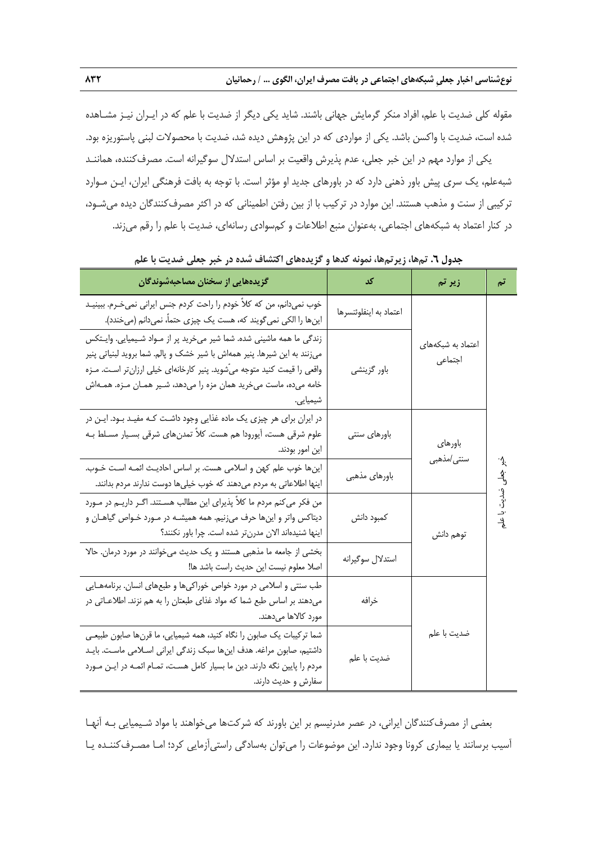مقوله كلي ضديت با علم، افراد منكر گرمايش جهاني باشند. شايد يكي ديگر از ضديت با علم كه در ايـران نيـز مشـاهده شده است، ضديت با واكسن باشد. يكي از مواردي كه در اين پژوهش ديده شد، ضديت با محصولات لبني پاستوريزه بود.

يكي از موارد مهم در اين خبر جعلي، عدم پذيرش واقعيت بر اساس استدلال سوگيرانه است. مصرفكننده، هماننـد شبهعلم، يك سري پيش باور ذهني دارد كه در باورهاي جديد او مؤثر است. با توجه به بافت فرهنگي ايران، ايـن مـوارد تركيبي از سنت و مذهب هستند. اين موارد در تركيب با از بين رفتن اطميناني كه در اكثر مصرفكنندگان ديده ميشـود، در كنار اعتماد به شبكههاي اجتماعي، بهعنوان منبع اطلاعات و كمسوادي رسانهاي، ضديت با علم را رقم ميزند.

| گزیدههایی از سخنان مصاحبهشوندگان                                                                                                                                                                                                                                                                                | کد                     | زیر تم                       | تم               |
|-----------------------------------------------------------------------------------------------------------------------------------------------------------------------------------------------------------------------------------------------------------------------------------------------------------------|------------------------|------------------------------|------------------|
| خوب نمیدانم، من که کلاً خودم را راحت کردم جنس ایرانی نمیخـرم. ببینیـد<br>اینها را الکی نمیگویند که، هست یک چیزی حتماً، نمیدانم (میخندد).                                                                                                                                                                        | اعتماد به اينفلوئنسرها |                              |                  |
| زندگی ما همه ماشینی شده. شما شیر میخرید پر از مـواد شـیمیایی. وایـتکس<br>میزنند به این شیرها. پنیر همهاش با شیر خشک و پالم. شما بروید لبنیاتی پنیر<br>واقعی را قیمت کنید متوجه میّشوید. پنیر کارخانهای خیلی ارزانتر اسـت. مـزه<br>خامه میده، ماست میخرید همان مزه را میدهد، شـیر همـان مـزه. همـهاش<br>شیمیایی. | باور گزينشي            | اعتماد به شبکههای<br>اجتماعي |                  |
| در ایران برای هر چیزی یک ماده غذایی وجود داشت کـه مفیـد بـود. ایـن در<br>علوم شرقی هست، آیورودا هم هست. کلاً تمدنهای شرقی بسـیار مسـلط بـه<br>این امور بودند.                                                                                                                                                   | باورهاى سنتى           | باورهاي                      |                  |
| اینها خوب علم کهن و اسلامی هست. بر اساس احادیث ائمـه اسـت خـوب.<br>اینها اطلاعاتی به مردم میدهند که خوب خیلیها دوست ندارند مردم بدانند.                                                                                                                                                                         | باورهاي مذهبي          | سنتى/مذهبى                   | ۰ş.              |
| من فکر میکنم مردم ما کلاً پذیرای این مطالب هسـتند. اگـر داریــم در مـورد<br>دیتاکس واتر و اینها حرف میزنیم. همه همیشـه در مـورد خـواص گیاهـان و<br>اینها شنیدهاند الان مدرنتر شده است. چرا باور نکنند؟                                                                                                          | كمبود دانش             | توهم دانش                    | جعلی ضدیت با علم |
| بخشی از جامعه ما مذهبی هستند و یک حدیث میخوانند در مورد درمان. حالا<br>اصلا معلوم نيست اين حديث راست باشد ها!                                                                                                                                                                                                   | استدلال سوگيرانه       |                              |                  |
| طب سنتی و اسلامی در مورد خواص خوراکیها و طبعهای انسان. برنامههـایی<br>میدهند بر اساس طبع شما که مواد غذای طبعتان را به هم نزند. اطلاعـاتی در<br>مورد كالاها مىدهند.                                                                                                                                             | خرافه                  |                              |                  |
| شما ترکیبات یک صابون را نگاه کنید، همه شیمیایی، ما قرنها صابون طبیعـی<br>داشتیم، صابون مراغه. هدف اینها سبک زندگی ایرانی اسـلامی ماسـت. بایـد<br>مردم را پایین نگه دارند. دین ما بسیار کامل هست، تمـام ائمـه در ایـن مـورد<br>سفارش و حدیث دارند.                                                               | ضديت با علم            | ضديت با علم                  |                  |

**جدول .6 تمها، زيرتمها، نمونه كدها و گزيدههاي اكتشاف شده در خبر جعلي ضديت با علم** 

بعضي از مصرفكنندگان ايراني، در عصر مدرنيسم بر اين باورند كه شركتها ميخواهند با مواد شـيميايي بـه آنهـا آسيب برسانند يا بيماري كرونا وجود ندارد. اين موضوعات را ميتوان بهسادگي راستيآزمايي كرد؛ امـا مصـرفكننـده يـا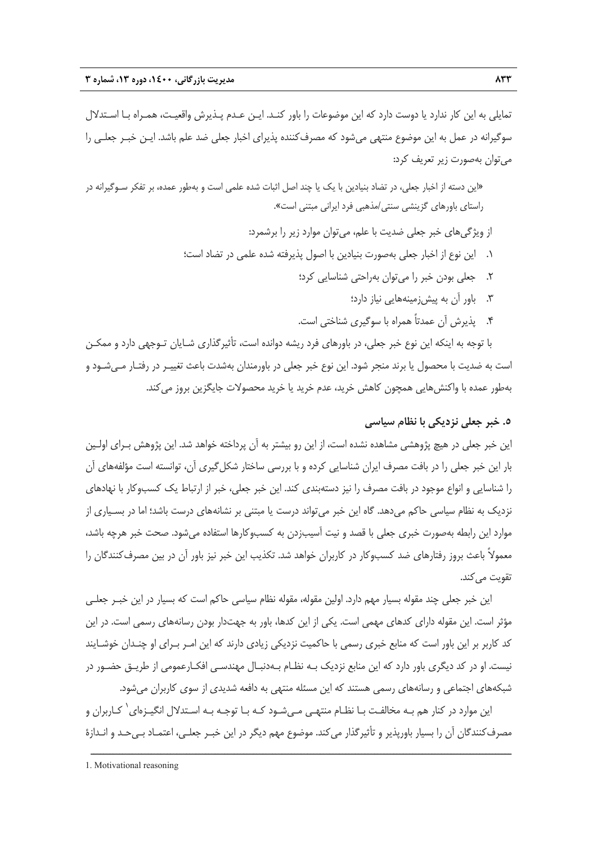تمايلي به اين كار ندارد يا دوست دارد كه اين موضوعات را باور كنـد. ايـن عـدم پـذيرش واقعيـت، همـراه بـا اسـتدلال سوگيرانه در عمل به اين موضوع منتهي ميشود كه مصرفكننده پذيراي اخبار جعلي ضد علم باشد. ايـن خبـر جعلـي را ميتوان بهصورت زير تعريف كرد:

«اين دسته از اخبار جعلي، در تضاد بنيادين با يك يا چند اصل اثبات شده علمي است و بهطور عمده، بر تفكر سـوگيرانه در راستاي باورهاي گزينشي سنتي/مذهبي فرد ايراني مبتني است».

از ويژگيهاي خبر جعلي ضديت با علم، ميتوان موارد زير را برشمرد:

- .1 اين نوع از اخبار جعلي بهصورت بنيادين با اصول پذيرفته شده علمي در تضاد است؛
	- .2 جعلي بودن خبر را ميتوان بهراحتي شناسايي كرد؛
		- .3 باور آن به پيشزمينههايي نياز دارد؛
	- .4 پذيرش آن عمدتاً همراه با سوگيري شناختي است.

با توجه به اينكه اين نوع خبر جعلي، در باورهاي فرد ريشه دوانده است، تأثيرگذاري شـايان تـوجهي دارد و ممكـن است به ضديت با محصول يا برند منجر شود. اين نوع خبر جعلي در باورمندان بهشدت باعث تغييـر در رفتـار مـيشـود و بهطور عمده با واكنشهايي همچون كاهش خريد، عدم خريد يا خريد محصولات جايگزين بروز ميكند.

#### **.5 خبر جعلي نزديكي با نظام سياسي**

اين خبر جعلي در هيچ پژوهشي مشاهده نشده است، از اين رو بيشتر به آن پرداخته خواهد شد. اين پژوهش بـراي اولـين بار اين خبر جعلي را در بافت مصرف ايران شناسايي كرده و با بررسي ساختار شكلگيري آن، توانسته است مؤلفههاي آن را شناسايي و انواع موجود در بافت مصرف را نيز دستهبندي كند. اين خبر جعلي، خبر از ارتباط يك كسبوكار با نهادهاي نزديك به نظام سياسي حاكم ميدهد. گاه اين خبر ميتواند درست يا مبتني بر نشانههاي درست باشد؛ اما در بسـياري از موارد اين رابطه بهصورت خبري جعلي با قصد و نيت آسيبزدن به كسبوكارها استفاده ميشود. صحت خبر هرچه باشد، معمولاً باعث بروز رفتارهاي ضد كسبوكار در كاربران خواهد شد. تكذيب اين خبر نيز باور آن در بين مصرفكنندگان را تقويت مي كند.

اين خبر جعلي چند مقوله بسيار مهم دارد. اولين مقوله، مقوله نظام سياسي حاكم است كه بسيار در اين خبـر جعلـي مؤثر است. اين مقوله داراي كدهاي مهمي است. يكي از اين كدها، باور به جهتدار بودن رسانههاي رسمي است. در اين كد كاربر بر اين باور است كه منابع خبري رسمي با حاكميت نزديكي زيادي دارند كه اين امـر بـراي او چنـدان خوشـايند نيست. او در كد ديگري باور دارد كه اين منابع نزديك بـه نظـام بـهدنبـال مهندسـي افكـارعمومي از طريـق حضـور در شبكههاي اجتماعي و رسانههاي رسمي هستند كه اين مسئله منتهي به دافعه شديدي از سوي كاربران ميشود.

ین موارد در كنار هم بـه مخالفـت بـا نظـام منتهـي مـيشـود كـه بـا توجـه بـه اسـتدلال انگيـزهاي<sup>\</sup> كـاربران و مصرفكنندگان آن را بسيار باورپذير و تأثيرگذار ميكند. موضوع مهم ديگر در اين خبـر جعلـي، اعتمـاد بـيحـد و انـدازة

<sup>1.</sup> Motivational reasoning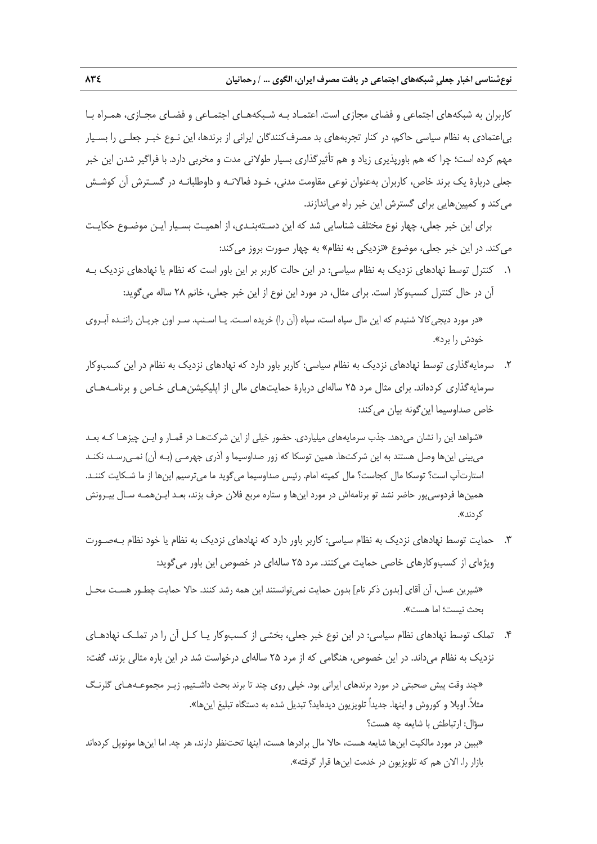كاربران به شبكههاي اجتماعي و فضاي مجازي است. اعتمـاد بـه شـبكههـاي اجتمـاعي و فضـاي مجـازي، همـراه بـا بياعتمادي به نظام سياسي حاكم، در كنار تجربههاي بد مصرفكنندگان ايراني از برندها، اين نـوع خبـر جعلـي را بسـيار مهم كرده است؛ چرا كه هم باورپذيري زياد و هم تأثيرگذاري بسيار طولاني مدت و مخربي دارد. با فراگير شدن اين خبر جعلي دربارة يك برند خاص، كاربران بهعنوان نوعي مقاومت مدني، خـود فعالانـه و داوطلبانـه در گسـترش آن كوشـش ميكند و كمپينهايي براي گسترش اين خبر راه مياندازند.

براي اين خبر جعلي، چهار نوع مختلف شناسايي شد كه اين دسـتهبنـدي، از اهميـت بسـيار ايـن موضـوع حكايـت ميكند. در اين خبر جعلي، موضوع «نزديكي به نظام» به چهار صورت بروز ميكند:

.1 كنترل توسط نهادهاي نزديك به نظام سياسي: در اين حالت كاربر بر اين باور است كه نظام يا نهادهاي نزديك بـه آن در حال كنترل كسبوكار است. براي مثال، در مورد اين نوع از اين خبر جعلي، خانم 28 ساله ميگويد:

«در مورد ديجيكالا شنيدم كه اين مال سپاه است، سپاه (آن را) خريده اسـت. يـا اسـنپ. سـر اون جريـان راننـده آبـروي خودش را برد».

.2 سرمايهگذاري توسط نهادهاي نزديك به نظام سياسي: كاربر باور دارد كه نهادهاي نزديك به نظام در اين كسبوكار سرمايهگذاري كردهاند. براي مثال مرد 25 سالهاي دربارة حمايتهاي مالي از اپليكيشنهـاي خـاص و برنامـههـاي خاص صداوسيما اين گونه بيان مي كند:

«شواهد اين را نشان ميدهد. جذب سرمايههاي ميلياردي. حضور خيلي از اين شركتهـا در قمـار و ايـن چيزهـا كـه بعـد ميبيني اينها وصل هستند به اين شركتها. همين توسكا كه زور صداوسيما و آذري جهرمـي (بـه آن) نمـيرسـد، نكنـد استارتآپ است؟ توسكا مال كجاست؟ مال كميته امام. رئيس صداوسيما ميگويد ما ميترسيم اينها از ما شـكايت كننـد. همينها فردوسيپور حاضر نشد تو برنامهاش در مورد اينها و ستاره مربع فلان حرف بزند، بعـد ايـنهمـه سـال بيـرونش كردند».

.3 حمايت توسط نهادهاي نزديك به نظام سياسي: كاربر باور دارد كه نهادهاي نزديك به نظام يا خود نظام بـهصـورت ويژهاي از كسبوكارهاي خاصي حمايت ميكنند. مرد 25 سالهاي در خصوص اين باور ميگويد:

«شيرين عسل، آن آقاي [بدون ذكر نام] بدون حمايت نمي توانستند اين همه رشد كنند. حالا حمايت چطـور هسـت محـل بحث نيست؛ اما هست».

.4 تملك توسط نهادهاي نظام سياسي: در اين نوع خبر جعلي، بخشي از كسبوكار يـا كـل آن را در تملـك نهادهـاي نزديك به نظام ميداند. در اين خصوص، هنگامي كه از مرد 25 سالهاي درخواست شد در اين باره مثالي بزند، گفت:

«چند وقت پيش صحبتي در مورد برندهاي ايراني بود. خيلي روي چند تا برند بحث داشـتيم. زيـر مجموعـههـاي گلرنـگ مثلا.ً اويلا و كوروش و اينها. جديداً تلويزيون ديدهايد؟ تبديل شده به دستگاه تبليغ اينها». سؤال: ارتباطش با شايعه چه هست؟ «ببين در مورد مالكيت اينها شايعه هست، حالا مال برادرها هست، اينها تحتنظر دارند، هر چه. اما اينها مونوپل كردهاند بازار را. الان هم كه تلويزيون در خدمت اينها قرار گرفته».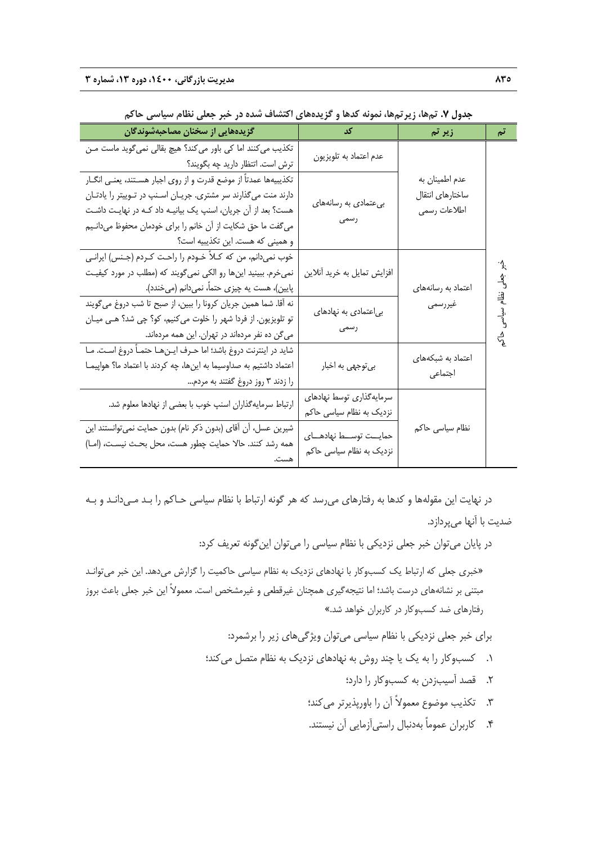| جدون ۰۰ نامیند زیر نامید، شوند مقدم و خریده مدی استفاد میشد می شود. خبر جمعی معام شیو شی معامل |                             |                         |                      |  |  |
|------------------------------------------------------------------------------------------------|-----------------------------|-------------------------|----------------------|--|--|
| گزیدههایی از سخنان مصاحبهشوندگان                                                               | کد                          | زیر تم                  | تم                   |  |  |
| تكذيب مي كنند اما كي باور مي كند؟ هيچ بقالي نمي گويد ماست مـن                                  | عدم اعتماد به تلويزيون      |                         |                      |  |  |
| ترش است. اتتظار دارید چه بگویند؟                                                               |                             |                         |                      |  |  |
| تكذيبيهها عمدتاً از موضع قدرت و از روى اجبار هسـتند، يعنـي انگــار                             |                             | عدم اطمينان به          |                      |  |  |
| دارند منت می گذارند سر مشتری. جریـان اسـنپ در تـوییتر را یادتـان                               | بیعتمادی به رسانههای        | ساختارهاى انتقال        |                      |  |  |
| هست؟ بعد از آن جریان، اسنپ یک بیانیـه داد کـه در نهایـت داشـت                                  |                             | اطلاعات رسمي            |                      |  |  |
| می گفت ما حق شکایت از آن خانم را برای خودمان محفوظ میدانـیم                                    | رسمى                        |                         |                      |  |  |
| و همینی که هست. این تکذیبیه است؟                                                               |                             |                         |                      |  |  |
| خوب نمیدانم، من که کـلاً خــودم را راحـت کــردم (جــنس) ايرانــي                               |                             |                         | ∙^}.                 |  |  |
| نمیخرم. ببینید اینها رو الکی نمی¢ویند که (مطلب در مورد کیفیت                                   | افزایش تمایل به خرید آنلاین |                         | $\overrightarrow{A}$ |  |  |
| پایین)، هست یه چیزی حتماً، نمیدانم (میخندد).                                                   |                             | اعتماد به رسانههای      |                      |  |  |
| نه أقا. شما همين جريان كرونا را ببين، از صبح تا شب دروغ ميءويند                                |                             | غيررسمي                 | نظام سياسى           |  |  |
| تو تلویزیون. از فردا شهر را خلوت میکنیم، کو؟ چی شد؟ هـی میـان                                  | بی عتمادی به نهادهای        |                         |                      |  |  |
| میگن ده نفر مردهاند در تهران. این همه مردهاند.                                                 | رسمى                        |                         | ್ಕೆ                  |  |  |
| شاید در اینترنت دروغ باشد؛ اما حـرف ایـنِهـا حتمـاً دروغ اسـت. مـا                             |                             |                         |                      |  |  |
| اعتماد داشتیم به صداوسیما به اینها، چه کردند با اعتماد ما؟ هواپیمـا                            | بي توجهي به اخبار           | اعتماد به شبکههای       |                      |  |  |
| را زدند ۳ روز دروغ گفتند به مردم                                                               |                             | اجتماعى                 |                      |  |  |
|                                                                                                | سرمايەگذارى توسط نهادهاى    |                         |                      |  |  |
| ارتباط سرمایهگذاران اسنپ خوب با بعضی از نهادها معلوم شد.                                       | نزدیک به نظام سیاسی حاکم    |                         |                      |  |  |
| شیرین عسل، أن أقاى (بدون ذكر نام) بدون حمایت نمى¤وانستند این                                   |                             | نظام سیاس <i>ی</i> حاکم |                      |  |  |
| همه رشد كنند. حالا حمايت چطور هست، محل بحـث نيسـت، (امــا)                                     | حمايــت توســط نهادهـــاى   |                         |                      |  |  |
| هست.                                                                                           | نزدیک به نظام سیاسی حاکم    |                         |                      |  |  |

**جدول .7 تمها، زيرتمها، نمونه كدها و گزيدههاي اكتشاف شده در خبر جعلي نظام سياسي حاكم** 

در نهايت اين مقولهها و كدها به رفتارهاي ميرسد كه هر گونه ارتباط با نظام سياسي حـاكم را بـد مـيدانـد و بـه ضديت با آنها ميپردازد.

در پايان ميتوان خبر جعلي نزديكي با نظام سياسي را ميتوان اينگونه تعريف كرد:

«خبري جعلي كه ارتباط يك كسبوكار با نهادهاي نزديك به نظام سياسي حاكميت را گزارش ميدهد. اين خبر ميتوانـد مبتني بر نشانههاي درست باشد؛ اما نتيجهگيري همچنان غيرقطعي و غيرمشخص است. معمولاً اين خبر جعلي باعث بروز رفتارهاي ضد كسبوكار در كاربران خواهد شد.»

براي خبر جعلي نزديكي با نظام سياسي ميتوان ويژگيهاي زير را برشمرد:

- .1 كسبوكار را به يك يا چند روش به نهادهاي نزديك به نظام متصل ميكند؛
	- .2 قصد آسيبزدن به كسبوكار را دارد؛
	- .3 تكذيب موضوع معمولاً آن را باورپذيرتر ميكند؛
	- .4 كاربران عموماً بهدنبال راستيآزمايي آن نيستند.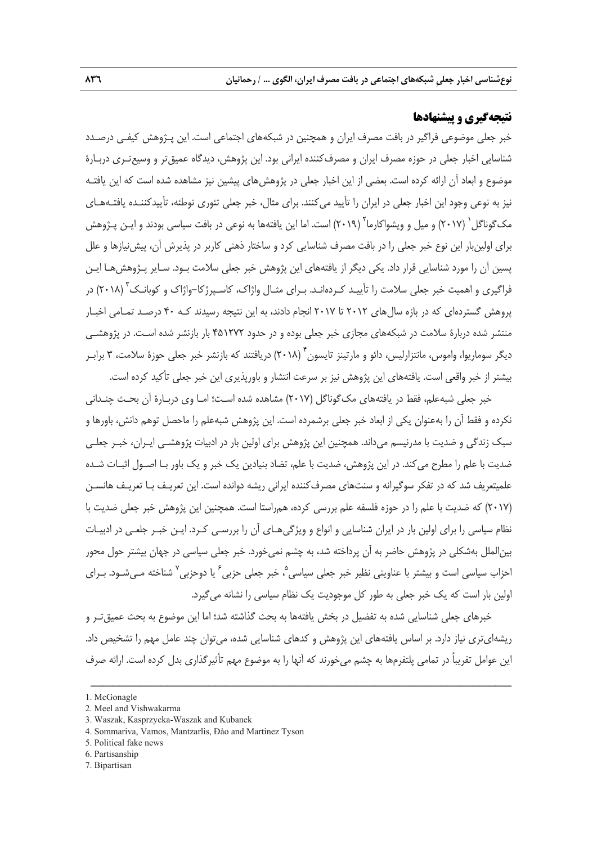#### **نتيجهگيري و پيشنهادها**

خبر جعلي موضوعي فراگير در بافت مصرف ايران و همچنين در شبكههاي اجتماعي است. اين پـژوهش كيفـي درصـدد شناسايي اخبار جعلي در حوزه مصرف ايران و مصرفكننده ايراني بود. اين پژوهش، ديدگاه عميقتر و وسيعتـري دربـارة موضوع و ابعاد آن ارائه كرده است. بعضي از اين اخبار جعلي در پژوهشهاي پيشين نيز مشاهده شده است كه اين يافتـه نيز به نوعي وجود اين اخبار جعلي در ايران را تأييد ميكنند. براي مثال، خبر جعلي تئوري توطئه، تأييدكننـده يافتـههـاي مک گوناگل ` (٢٠١٧) و ميل و ويشواكارما ` (٢٠١٩) است. اما اين يافتهها به نوعي در بافت سياسي بودند و ايـن پـژوهش براي اولينبار اين نوع خبر جعلي را در بافت مصرف شناسايي كرد و ساختار ذهني كاربر در پذيرش آن، پيشنيازها و علل پسين آن را مورد شناسايي قرار داد. يكي ديگر از يافتههاي اين پژوهش خبر جعلي سلامت بـود. سـاير پـژوهشهـا ايـن فراگيرى و اهميت خبر جعلى سلامت را تأييـد كـردهانـد. بـراى مثـال واژاك، كاسـپرژكا–واژاک و كوبانـك<sup>۳</sup> (۲۰۱۸) در پروهش گستردهاي كه در بازه سالهاي 2012 تا 2017 انجام دادند، به اين نتيجه رسيدند كـه 40 درصـد تمـامي اخبـار منتشر شده دربارة سلامت در شبكههاي مجازي خبر جعلي بوده و در حدود 451272 بار بازنشر شده اسـت. در پژوهشـي ديگر سوماريوا، واموس، مانتزارليس، دائو و مارتينز تايسون ۲۰۱۸) دريافتند كه بازنشر خبر جعلي حوزهٔ سلامت، ۳ براب بيشتر از خبر واقعي است. يافتههاي اين پژوهش نيز بر سرعت انتشار و باورپذيري اين خبر جعلي تأكيد كرده است.

خبر جعلي شبهعلم، فقط در يافتههاي مكگوناگل (2017 ) مشاهده شده اسـت؛ امـا وي دربـارة آن بحـث چنـداني نكرده و فقط آن را بهعنوان يكي از ابعاد خبر جعلي برشمرده است. اين پژوهش شبهعلم را ماحصل توهم دانش، باورها و سبك زندگي و ضديت با مدرنيسم ميداند. همچنين اين پژوهش براي اولين بار در ادبيات پژوهشـي ايـران، خبـر جعلـي ضديت با علم را مطرح ميكند. در اين پژوهش، ضديت با علم، تضاد بنيادين يك خبر و يك باور بـا اصـول اثبـات شـده علميتعريف شد كه در تفكر سوگيرانه و سنتهاي مصرفكننده ايراني ريشه دوانده است. اين تعريـف بـا تعريـف هانسـن (2017) كه ضديت با علم را در حوزه فلسفه علم بررسي كرده، همراستا است. همچنين اين پژوهش خبر جعلي ضديت با نظام سياسي را براي اولين بار در ايران شناسايي و انواع و ويژگيهـاي آن را بررسـي كـرد. ايـن خبـر جلعـي در ادبيـات بينالملل بهشكلي در پژوهش حاضر به آن پرداخته شد، به چشم نميخورد. خبر جعلي سياسي در جهان بيشتر حول محور 'حزاب سياسى است و بيشتر با عناوينى نظير خبر جعلى سياسى<sup>م</sup>، خبر جعلى حزبى<sup>ء</sup> يا دوحزبى<sup>٬</sup> شناخته مـىشـود. بــراى اولين بار است كه يك خبر جعلي به طور كل موجوديت يك نظام سياسي را نشانه ميگيرد.

خبرهاي جعلي شناسايي شده به تفضيل در بخش يافتهها به بحث گذاشته شد؛ اما اين موضوع به بحث عميقتـر و ريشهايتري نياز دارد . بر اساس يافتههاي اين پژوهش و كدهاي شناسايي شده، ميتوان چند عامل مهم را تشخيص داد. اين عوامل تقريباً در تمامي پلتفرمها به چشم ميخورند كه آنها را به موضوع مهم تأثيرگذاري بدل كرده است. ارائه صرف

<sup>1.</sup> McGonagle

<sup>2.</sup> Meel and Vishwakarma

<sup>3.</sup> Waszak, Kasprzycka-Waszak and Kubanek

<sup>4.</sup> Sommariva, Vamos, Mantzarlis, Đào and Martinez Tyson

<sup>5.</sup> Political fake news

<sup>6.</sup> Partisanship

<sup>7.</sup> Bipartisan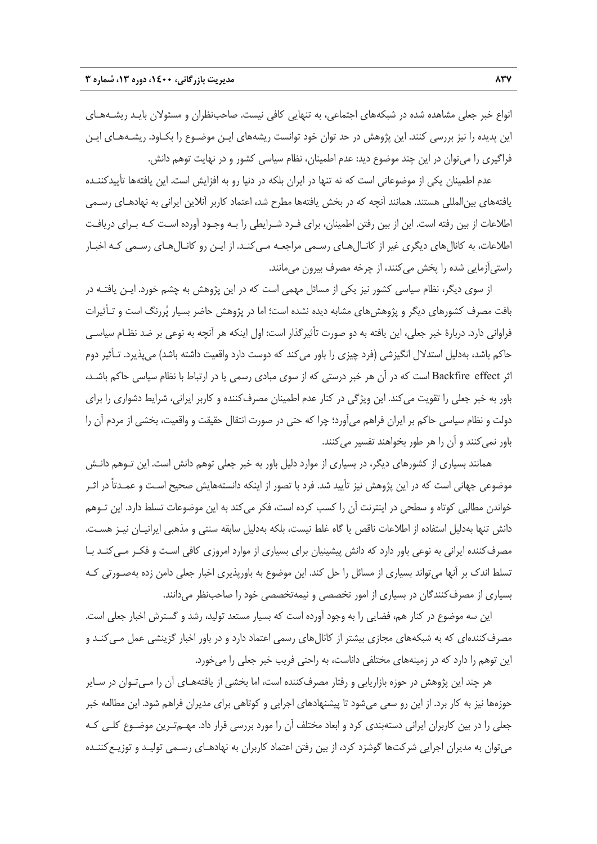انواع خبر جعلي مشاهده شده در شبكههاي اجتماعي، به تنهايي كافي نيست. صاحبنظران و مسئولان بايـد ريشـههـاي اين پديده را نيز بررسي كنند. اين پژوهش در حد توان خود توانست ريشههاي ايـن موضـوع را بكـاود. ريشـههـاي ايـن فراگيري را ميتوان در اين چند موضوع ديد: عدم اطمينان، نظام سياسي كشور و در نهايت توهم دانش.

عدم اطمينان يكي از موضوعاتي است كه نه تنها در ايران بلكه در دنيا رو به افزايش است. اين يافتهها تأييدكننـده يافتههاي بينالمللي هستند. همانند آنچه كه در بخش يافتهها مطرح شد، اعتماد كاربر آنلاين ايراني به نهادهـاي رسـمي اطلاعات از بين رفته است. اين از بين رفتن اطمينان، براي فـرد شـرايطي را بـه وجـود آورده اسـت كـه بـراي دريافـت اطلاعات، به كانالهاي ديگري غير از كانـالهـاي رسـمي مراجعـه مـيكنـد. از ايـن رو كانـالهـاي رسـمي كـه اخبـار راستيآزمايي شده را پخش ميكنند، از چرخه مصرف بيرون ميمانند.

از سوي ديگر، نظام سياسي كشور نيز يكي از مسائل مهمي است كه در اين پژوهش به چشم خورد. ايـن يافتـه در بافت مصرف كشورهاي ديگر و پژوهشهاي مشابه ديده نشده است؛ اما در پژوهش حاضر بسيار پررنگ است و تـأثيرات فراواني دارد. دربارة خبر جعلي، اين يافته به دو صورت تأثيرگذار است: اول اينكه هر آنچه به نوعي بر ضد نظـام سياسـي حاكم باشد، بهدليل استدلال انگيزشي (فرد چيزي را باور ميكند كه دوست دارد واقعيت داشته باشد) ميپذيرد. تـأثير دوم اثر Backfire effect است كه در آن هر خبر درستي كه از سوي مبادي رسمي يا در ارتباط با نظام سياسي حاكم باشـد، باور به خبر جعلي را تقويت ميكند. اين ويژگي در كنار عدم اطمينان مصرفكننده و كاربر ايراني، شرايط دشواري را براي دولت و نظام سياسي حاكم بر ايران فراهم ميآورد؛ چرا كه حتي در صورت انتقال حقيقت و واقعيت، بخشي از مردم آن را باور نمي كنند و آن را هر طور بخواهند تفسير مي كنند.

همانند بسياري از كشورهاي ديگر، در بسياري از موارد دليل باور به خبر جعلي توهم دانش است. اين تـوهم دانـش موضوعي جهاني است كه در اين پژوهش نيز تأييد شد. فرد با تصور از اينكه دانستههايش صحيح اسـت و عمـدتاً در اثـر خواندن مطالبي كوتاه و سطحي در اينترنت آن را كسب كرده است، فكر ميكند به اين موضوعات تسلط دارد. اين تـوهم دانش تنها بهدليل استفاده از اطلاعات ناقص يا گاه غلط نيست، بلكه بهدليل سابقه سنتي و مذهبي ايرانيـان نيـز هسـت. مصرفكننده ايراني به نوعي باور دارد كه دانش پيشينيان براي بسياري از موارد امروزي كافي اسـت و فكـر مـيكنـد بـا تسلط اندك بر آنها ميتواند بسياري از مسائل را حل كند. اين موضوع به باورپذيري اخبار جعلي دامن زده بهصـورتي كـه بسياري از مصرفكنندگان در بسياري از امور تخصصي و نيمهتخصصي خود را صاحبنظر ميدانند.

اين سه موضوع در كنار هم، فضايي را به وجود آورده است كه بسيار مستعد توليد، رشد و گسترش اخبار جعلي است. مصرفكنندهاي كه به شبكههاي مجازي بيشتر از كانالهاي رسمي اعتماد دارد و در باور اخبار گزينشي عمل مـيكنـد و اين توهم را دارد كه در زمينههاي مختلفي داناست، به راحتي فريب خبر جعلي را ميخورد.

هر چند اين پژوهش در حوزه بازاريابي و رفتار مصرفكننده است، اما بخشي از يافتههـاي آن را مـيتـوان در سـاير حوزهها نيز به كار برد. از اين رو سعي ميشود تا پيشنهادهاي اجرايي و كوتاهي براي مديران فراهم شود. اين مطالعه خبر جعلي را در بين كاربران ايراني دستهبندي كرد و ابعاد مختلف آن را مورد بررسي قرار داد. مهـمتـرين موضـوع كلـي كـه ميتوان به مديران اجرايي شركتها گوشزد كرد، از بين رفتن اعتماد كاربران به نهادهـاي رسـمي توليـد و توزيـعكننـده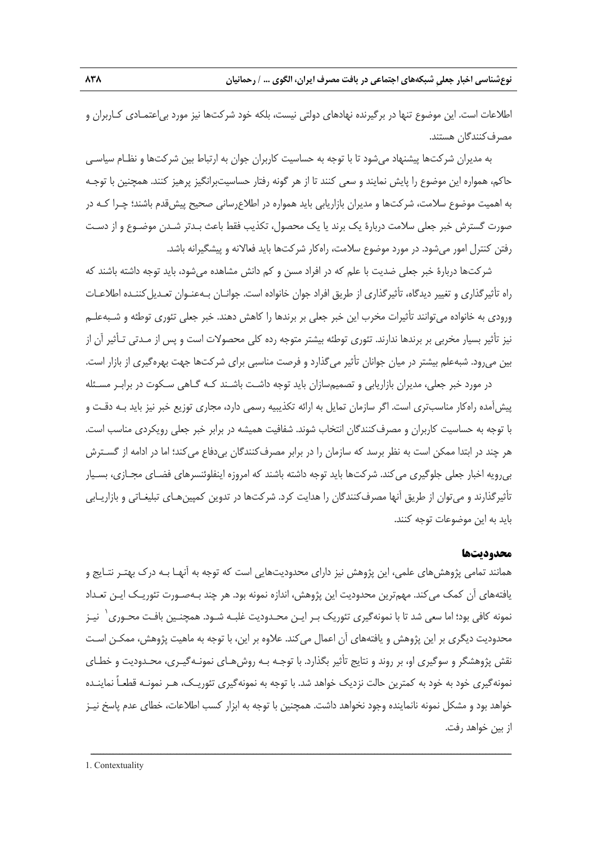اطلاعات است. اين موضوع تنها در برگيرنده نهادهاي دولتي نيست، بلكه خود شركتها نيز مورد بياعتمـادي كـاربران و مصرفكنندگان هستند.

به مديران شركتها پيشنهاد ميشود تا با توجه به حساسيت كاربران جوان به ارتباط بين شركتها و نظـام سياسـي حاكم، همواره اين موضوع را پايش نمايند و سعي كنند تا از هر گونه رفتار حساسيتبرانگيز پرهيز كنند. همچنين با توجـه به اهميت موضوع سلامت، شركتها و مديران بازاريابي بايد همواره در اطلاعرساني صحيح پيشقدم باشند؛ چـرا كـه در صورت گسترش خبر جعلي سلامت دربارة يك برند يا يك محصول، تكذيب فقط باعث بـدتر شـدن موضـوع و از دسـت رفتن كنترل امور ميشود. در مورد موضوع سلامت، راهكار شركتها بايد فعالانه و پيشگيرانه باشد.

شركتها دربارة خبر جعلي ضديت با علم كه در افراد مسن و كم دانش مشاهده ميشود، بايد توجه داشته باشند كه راه تأثيرگذاري و تغيير ديدگاه، تأثيرگذاري از طريق افراد جوان خانواده است. جوانـان بـهعنـوان تعـديلكننـده اطلاعـات ورودي به خانواده ميتوانند تأثيرات مخرب اين خبر جعلي بر برندها را كاهش دهند. خبر جعلي تئوري توطئه و شـبهعلـم نيز تأثير بسيار مخربي بر برندها ندارند. تئوري توطئه بيشتر متوجه رده كلي محصولات است و پس از مـدتي تـأثير آن از بين ميرود. شبهعلم بيشتر در ميان جوانان تأثير ميگذارد و فرصت مناسبي براي شركتها جهت بهرهگيري از بازار است.

در مورد خبر جعلي، مديران بازاريابي و تصميمسازان بايد توجه داشـت باشـند كـه گـاهي سـكوت در برابـر مسـئله پيشآمده راهكار مناسبتري است. اگر سازمان تمايل به ارائه تكذيبيه رسمي دارد، مجاري توزيع خبر نيز بايد بـه دقـت و با توجه به حساسيت كاربران و مصرفكنندگان انتخاب شوند. شفافيت هميشه در برابر خبر جعلي رويكردي مناسب است. هر چند در ابتدا ممكن است به نظر برسد كه سازمان را در برابر مصرفكنندگان بيدفاع ميكند؛ اما در ادامه از گسـترش بيرويه اخبار جعلي جلوگيري ميكند. شركتها بايد توجه داشته باشند كه امروزه اينفلوئنسرهاي فضـاي مجـازي، بسـيار تأثيرگذارند و ميتوان از طريق آنها مصرفكنندگان را هدايت كرد. شركتها در تدوين كمپينهـاي تبليغـاتي و بازاريـابي بايد به اين موضوعات توجه كنند.

#### **محدوديتها**

همانند تمامي پژوهشهاي علمي، اين پژوهش نيز داراي محدوديتهايي است كه توجه به آنهـا بـه درك بهتـر نتـايج و يافتههاي آن كمك ميكند. مهمترين محدوديت اين پژوهش، اندازه نمونه بود. هر چند بـهصـورت تئوريـك ايـن تعـداد نمونه كافي بود؛ اما سعي شد تا با نمونهگيري تئوريک بـر ايـن محـدوديت غلبـه شـود. همچنـين بافـت محـوري ٰ نيـز محدوديت ديگري بر اين پژوهش و يافتههاي آن اعمال ميكند. علاوه بر اين، با توجه به ماهيت پژوهش، ممكـن اسـت نقش پژوهشگر و سوگيري او، بر روند و نتايج تأثير بگذارد. با توجـه بـه روشهـاي نمونـهگيـري، محـدوديت و خطـاي نمونهگيري خود به خود به كمترين حالت نزديك خواهد شد. با توجه به نمونهگيري تئوريـك، هـر نمونـه قطعـاً نماينـده خواهد بود و مشكل نمونه نانماينده وجود نخواهد داشت. همچنين با توجه به ابزار كسب اطلاعات، خطاي عدم پاسخ نيـز از بين خواهد رفت.

ــــــــــــــــــــــــــــــــــــــــــــــــــــــــــــــــــــــــــــــــــــــــــــــــــــــــــــــــــــــــــــــــــــ

1. Contextuality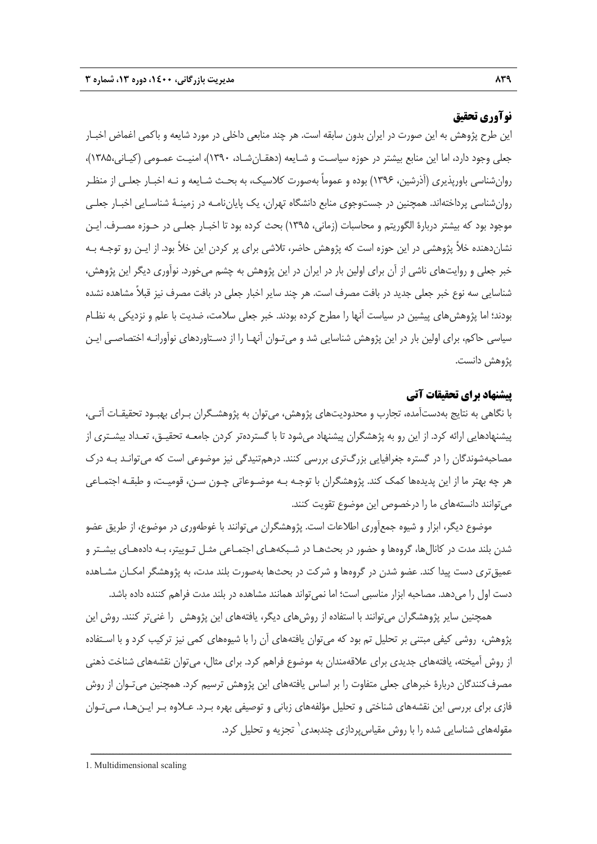#### **نوآوري تحقيق**

اين طرح پژوهش به اين صورت در ايران بدون سابقه است. هر چند منابعي داخلي در مورد شايعه و باكمي اغماض اخبـار جعلي وجود دارد، اما اين منابع بيشتر در حوزه سياسـت و شـايعه (دهقـانشـاد، 1390)، امنيـت عمـومي (كيـاني1385، )، روانشناسي باورپذيري (آذرشين، 1396) بوده و عموماً بهصورت كلاسيك، به بحـث شـايعه و نـه اخبـار جعلـي از منظـر روانشناسي پرداختهاند. همچنين در جستوجوي منابع دانشگاه تهران، يك پاياننامـه در زمينـة شناسـايي اخبـار جعلـي موجود بود كه بيشتر دربارة الگوريتم و محاسبات (زماني، 1395) بحث كرده بود تا اخبـار جعلـي در حـوزه مصـرف. ايـن نشاندهنده خلأ پژوهشي در اين حوزه است كه پژوهش حاضر، تلاشي براي پر كردن اين خلأ بود. از ايـن رو توجـه بـه خبر جعلي و روايتهاي ناشي از آن براي اولين بار در ايران در اين پژوهش به چشم ميخورد. نوآوري ديگر اين پژوهش، شناسايي سه نوع خبر جعلي جديد در بافت مصرف است. هر چند ساير اخبار جعلي در بافت مصرف نيز قبلاً مشاهده نشده بودند؛ اما پژوهشهاي پيشين در سياست آنها را مطرح كرده بودند. خبر جعلي سلامت، ضديت با علم و نزديكي به نظـام سياسي حاكم، براي اولين بار در اين پژوهش شناسايي شد و ميتـوان آنهـا را از دسـتاوردهاي نوآورانـه اختصاصـي ايـن پژوهش دانست.

#### **پيشنهاد براي تحقيقات آتي**

با نگاهي به نتايج بهدستآمده، تجارب و محدوديتهاي پژوهش، ميتوان به پژوهشـگران بـراي بهبـود تحقيقـات آتـي، پيشنهادهايي ارائه كرد. از اين رو به پژهشگران پيشنهاد ميشود تا با گستردهتر كردن جامعـه تحقيـق، تعـداد بيشـتري از مصاحبهشوندگان را در گستره جغرافيايي بزرگتري بررسي كنند. درهمتنيدگي نيز موضوعي است كه ميتوانـد بـه درك هر چه بهتر ما از اين پديدهها كمك كند. پژوهشگران با توجـه بـه موضـوعاتي چـون سـن، قوميـت، و طبقـه اجتمـاعي ميتوانند دانستههاي ما را درخصوص اين موضوع تقويت كنند.

موضوع ديگر، ابزار و شيوه جمعآوري اطلاعات است. پژوهشگران ميتوانند با غوطهوري در موضوع، از طريق عضو شدن بلند مدت در كانالها، گروهها و حضور در بحثهـا در شـبكههـاي اجتمـاعي مثـل تـوييتر، بـه دادههـاي بيشـتر و عميقتري دست پيدا كند. عضو شدن در گروهها و شركت در بحثها بهصورت بلند مدت، به پژوهشگر امكـان مشـاهده دست اول را ميدهد. مصاحبه ابزار مناسبي است؛ اما نميتواند همانند مشاهده در بلند مدت فراهم كننده داده باشد.

همچنين ساير پژوهشگران ميتوانند با استفاده از روشهاي ديگر، يافتههاي اين پژوهش را غنيتر كنند. روش اين پژوهش، روشي كيفي مبتني بر تحليل تم بود كه ميتوان يافتههاي آن را با شيوههاي كمي نيز تركيب كرد و با اسـتفاده از روش آميخته، يافتههاي جديدي براي علاقهمندان به موضوع فراهم كرد. براي مثال، ميتوان نقشههاي شناخت ذهني مصرف كنندگان دربارة خبرهاي جعلي متفاوت را بر اساس يافتههاي اين پژوهش ترسيم كرد. همچنين مي تـوان از روش فازي براي بررسي اين نقشههاي شناختي و تحليل مؤلفههاي زباني و توصيفي بهره بـرد. عـلاوه بـر ايـنهـا، مـيتـوان مقولههاي شناسايي شده را با روش مقياس پردازي چندبعدي<sup>\</sup> تجزيه و تحليل كرد.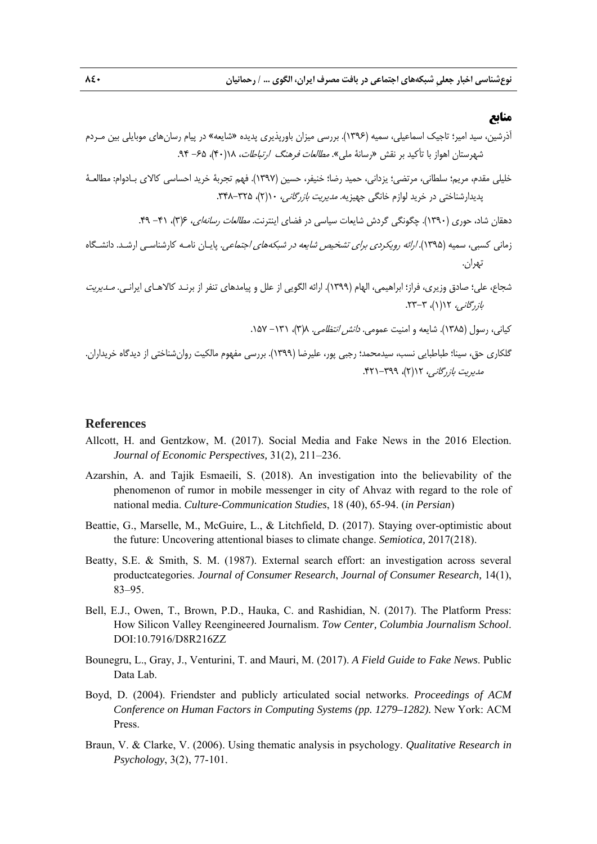#### **منابع**

آذرشين، سيد امير؛ تاجيك اسماعيلي، سميه (1396). بررسي ميزان باورپذيري پديده «شايعه» در پيام رسانهاي موبايلي بين مـردم شهرستان اهواز با تأكيد بر نقش «رسانة ملي». مطالعات فرهنگ ارتباطات، 18(40)، -65 .94 خليلي مقدم، مريم؛ سلطاني، مرتضي؛ يزداني، حميد رضا؛ خنيفر، حسين (1397). فهم تجربة خريد احساسي كالاي بـادوام: مطالعـة پديدارشناختي در خريد لوازم خانگي جهيزيه. مديريت بازرگاني، 10(2)، .348-325 دهقان شاد، حوري (1390). چگونگي گردش شايعات سياسي در فضاي اينترنت. مطالعات رسانهاي، 6(3)، -41 .49 زماني كسبي، سميه (1395). ارائه رويكردي براي تشخيص شايعه در شبكههاي اجتماعي. پايـان نامـه كارشناسـي ارشـد. دانشـگاه تهران. شجاع، علي؛ صادق وزيري، فراز؛ ابراهيمي، الهام (1399). ارائه الگويي از علل و پيامدهاي تنفر از برنـد كالاهـاي ايرانـي. مـديريت بازرگاني، 12(1)، .23-3 كياني، رسول (1385). شايعه و امنيت عمومي. دانش انتظامي. 8(3)، -131 .157 گلكاري حق، سينا؛ طباطبايي نسب، سيدمحمد؛ رجبي پور، عليرضا (1399). بررسي مفهوم مالكيت روانشناختي از ديدگاه خريداران. مديريت بازرگاني، 12(2)، .421-399

#### **References**

- Allcott, H. and Gentzkow, M. (2017). Social Media and Fake News in the 2016 Election. *Journal of Economic Perspectives,* 31(2), 211–236.
- Azarshin, A. and Tajik Esmaeili, S. (2018). An investigation into the believability of the phenomenon of rumor in mobile messenger in city of Ahvaz with regard to the role of national media. *Culture-Communication Studies*, 18 (40), 65-94. (*in Persian*)
- Beattie, G., Marselle, M., McGuire, L., & Litchfield, D. (2017). Staying over-optimistic about the future: Uncovering attentional biases to climate change. *Semiotica,* 2017(218).
- Beatty, S.E. & Smith, S. M. (1987). External search effort: an investigation across several productcategories. *Journal of Consumer Research*, *Journal of Consumer Research,* 14(1), 83–95.
- Bell, E.J., Owen, T., Brown, P.D., Hauka, C. and Rashidian, N. (2017). The Platform Press: How Silicon Valley Reengineered Journalism. *Tow Center, Columbia Journalism School*. DOI:10.7916/D8R216ZZ
- Bounegru, L., Gray, J., Venturini, T. and Mauri, M. (2017). *A Field Guide to Fake News*. Public Data Lab.
- Boyd, D. (2004). Friendster and publicly articulated social networks. *Proceedings of ACM Conference on Human Factors in Computing Systems (pp. 1279–1282).* New York: ACM Press.
- Braun, V. & Clarke, V. (2006). Using thematic analysis in psychology. *Qualitative Research in Psychology*, 3(2), 77-101.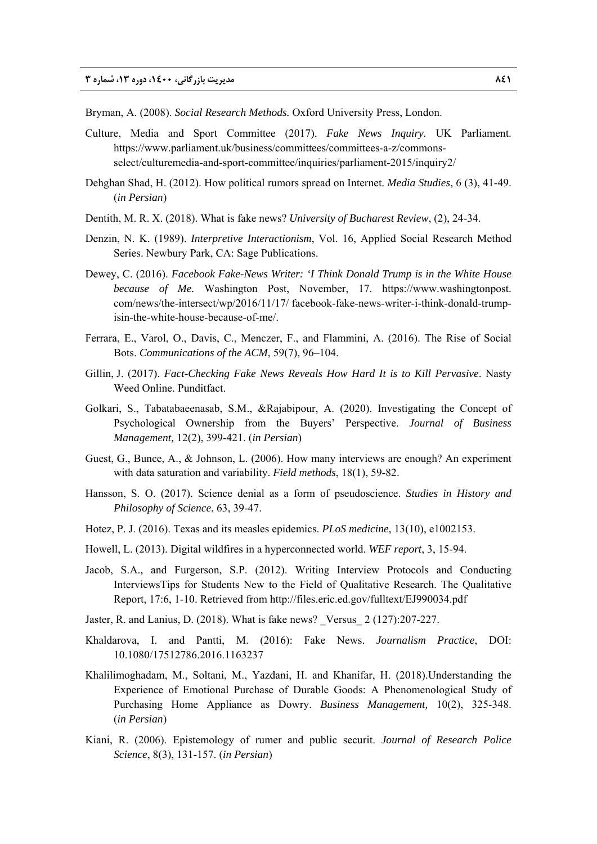Bryman, A. (2008). *Social Research Methods.* Oxford University Press, London.

- Culture, Media and Sport Committee (2017). *Fake News Inquiry.* UK Parliament. https://www.parliament.uk/business/committees/committees-a-z/commonsselect/culturemedia-and-sport-committee/inquiries/parliament-2015/inquiry2/
- Dehghan Shad, H. (2012). How political rumors spread on Internet. *Media Studies*, 6 (3), 41-49. (*in Persian*)
- Dentith, M. R. X. (2018). What is fake news? *University of Bucharest Review*, (2), 24-34.
- Denzin, N. K. (1989). *Interpretive Interactionism*, Vol. 16, Applied Social Research Method Series. Newbury Park, CA: Sage Publications.
- Dewey, C. (2016). *Facebook Fake-News Writer: 'I Think Donald Trump is in the White House because of Me.* Washington Post, November, 17. https://www.washingtonpost. com/news/the-intersect/wp/2016/11/17/ facebook-fake-news-writer-i-think-donald-trumpisin-the-white-house-because-of-me/.
- Ferrara, E., Varol, O., Davis, C., Menczer, F., and Flammini, A. (2016). The Rise of Social Bots. *Communications of the ACM*, 59(7), 96–104.
- Gillin, J. (2017). *Fact-Checking Fake News Reveals How Hard It is to Kill Pervasive*. Nasty Weed Online. Punditfact.
- Golkari, S., Tabatabaeenasab, S.M., &Rajabipour, A. (2020). Investigating the Concept of Psychological Ownership from the Buyers' Perspective. *Journal of Business Management,* 12(2), 399-421. (*in Persian*)
- Guest, G., Bunce, A., & Johnson, L. (2006). How many interviews are enough? An experiment with data saturation and variability. *Field methods*, 18(1), 59-82.
- Hansson, S. O. (2017). Science denial as a form of pseudoscience. *Studies in History and Philosophy of Science*, 63, 39-47.
- Hotez, P. J. (2016). Texas and its measles epidemics. *PLoS medicine*, 13(10), e1002153.
- Howell, L. (2013). Digital wildfires in a hyperconnected world. *WEF report*, 3, 15-94.
- Jacob, S.A., and Furgerson, S.P. (2012). Writing Interview Protocols and Conducting InterviewsTips for Students New to the Field of Qualitative Research. The Qualitative Report, 17:6, 1-10. Retrieved from http://files.eric.ed.gov/fulltext/EJ990034.pdf
- Jaster, R. and Lanius, D. (2018). What is fake news? \_Versus\_ 2 (127):207-227.
- Khaldarova, I. and Pantti, M. (2016): Fake News. *Journalism Practice*, DOI: 10.1080/17512786.2016.1163237
- Khalilimoghadam, M., Soltani, M., Yazdani, H. and Khanifar, H. (2018).Understanding the Experience of Emotional Purchase of Durable Goods: A Phenomenological Study of Purchasing Home Appliance as Dowry. *Business Management,* 10(2), 325-348. (*in Persian*)
- Kiani, R. (2006). Epistemology of rumer and public securit. *Journal of Research Police Science*, 8(3), 131-157. (*in Persian*)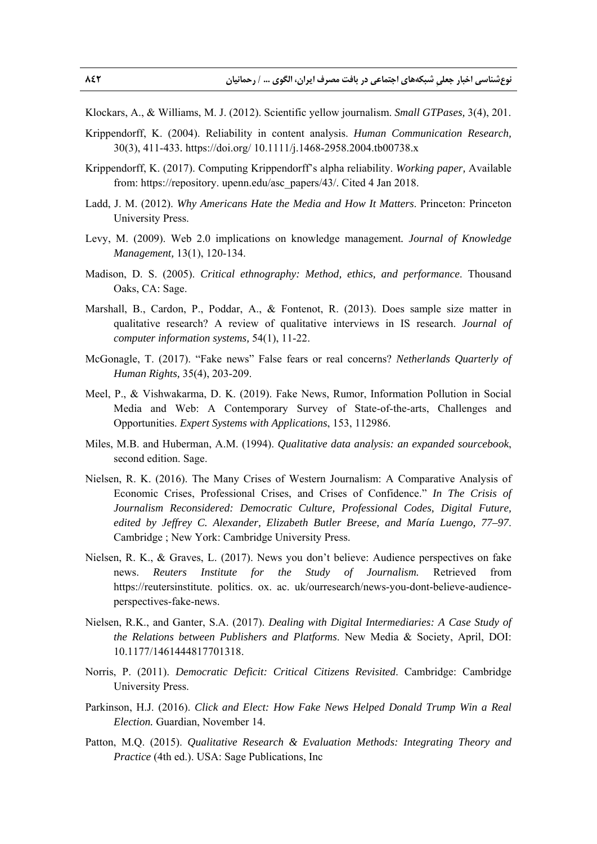- Klockars, A., & Williams, M. J. (2012). Scientific yellow journalism. *Small GTPases,* 3(4), 201.
- Krippendorff, K. (2004). Reliability in content analysis. *Human Communication Research,*  30(3), 411-433*.* https://doi.org/ 10.1111/j.1468-2958.2004.tb00738.x
- Krippendorff, K. (2017). Computing Krippendorff's alpha reliability. *Working paper,* Available from: https://repository. upenn.edu/asc\_papers/43/. Cited 4 Jan 2018.
- Ladd, J. M. (2012). *Why Americans Hate the Media and How It Matters*. Princeton: Princeton University Press.
- Levy, M. (2009). Web 2.0 implications on knowledge management*. Journal of Knowledge Management,* 13(1), 120-134.
- Madison, D. S. (2005). *Critical ethnography: Method, ethics, and performance*. Thousand Oaks, CA: Sage.
- Marshall, B., Cardon, P., Poddar, A., & Fontenot, R. (2013). Does sample size matter in qualitative research? A review of qualitative interviews in IS research. *Journal of computer information systems,* 54(1), 11-22.
- McGonagle, T. (2017). "Fake news" False fears or real concerns? *Netherlands Quarterly of Human Rights,* 35(4), 203-209.
- Meel, P., & Vishwakarma, D. K. (2019). Fake News, Rumor, Information Pollution in Social Media and Web: A Contemporary Survey of State-of-the-arts, Challenges and Opportunities. *Expert Systems with Applications*, 153, 112986.
- Miles, M.B. and Huberman, A.M. (1994). *Qualitative data analysis: an expanded sourcebook*, second edition. Sage.
- Nielsen, R. K. (2016). The Many Crises of Western Journalism: A Comparative Analysis of Economic Crises, Professional Crises, and Crises of Confidence." *In The Crisis of Journalism Reconsidered: Democratic Culture, Professional Codes, Digital Future, edited by Jeffrey C. Alexander, Elizabeth Butler Breese, and María Luengo, 77–97*. Cambridge ; New York: Cambridge University Press.
- Nielsen, R. K., & Graves, L. (2017). News you don't believe: Audience perspectives on fake news. *Reuters Institute for the Study of Journalism.* Retrieved from https://reutersinstitute. politics. ox. ac. uk/ourresearch/news-you-dont-believe-audienceperspectives-fake-news.
- Nielsen, R.K., and Ganter, S.A. (2017). *Dealing with Digital Intermediaries: A Case Study of the Relations between Publishers and Platforms*. New Media & Society, April, DOI: 10.1177/1461444817701318.
- Norris, P. (2011). *Democratic Deficit: Critical Citizens Revisited*. Cambridge: Cambridge University Press.
- Parkinson, H.J. (2016). *Click and Elect: How Fake News Helped Donald Trump Win a Real Election.* Guardian, November 14.
- Patton, M.Q. (2015). *Qualitative Research & Evaluation Methods: Integrating Theory and Practice* (4th ed.). USA: Sage Publications, Inc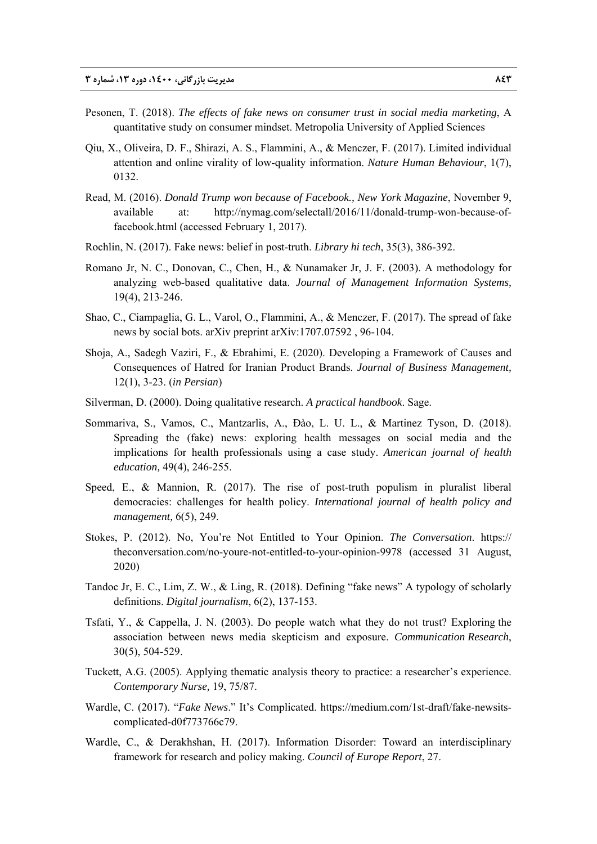- Pesonen, T. (2018). *The effects of fake news on consumer trust in social media marketing*, A quantitative study on consumer mindset. Metropolia University of Applied Sciences
- Qiu, X., Oliveira, D. F., Shirazi, A. S., Flammini, A., & Menczer, F. (2017). Limited individual attention and online virality of low-quality information. *Nature Human Behaviour*, 1(7), 0132.
- Read, M. (2016). *Donald Trump won because of Facebook., New York Magazine*, November 9, available at: http://nymag.com/selectall/2016/11/donald-trump-won-because-offacebook.html (accessed February 1, 2017).
- Rochlin, N. (2017). Fake news: belief in post-truth. *Library hi tech*, 35(3), 386-392.
- Romano Jr, N. C., Donovan, C., Chen, H., & Nunamaker Jr, J. F. (2003). A methodology for analyzing web-based qualitative data. *Journal of Management Information Systems,* 19(4), 213-246.
- Shao, C., Ciampaglia, G. L., Varol, O., Flammini, A., & Menczer, F. (2017). The spread of fake news by social bots. arXiv preprint arXiv:1707.07592 , 96-104.
- Shoja, A., Sadegh Vaziri, F., & Ebrahimi, E. (2020). Developing a Framework of Causes and Consequences of Hatred for Iranian Product Brands. *Journal of Business Management,*  12(1), 3-23. (*in Persian*)
- Silverman, D. (2000). Doing qualitative research. *A practical handbook*. Sage.
- Sommariva, S., Vamos, C., Mantzarlis, A., Đào, L. U. L., & Martinez Tyson, D. (2018). Spreading the (fake) news: exploring health messages on social media and the implications for health professionals using a case study. *American journal of health education,* 49(4), 246-255.
- Speed, E., & Mannion, R. (2017). The rise of post-truth populism in pluralist liberal democracies: challenges for health policy. *International journal of health policy and management,* 6(5), 249.
- Stokes, P. (2012). No, You're Not Entitled to Your Opinion. *The Conversation*. https:// theconversation.com/no-youre-not-entitled-to-your-opinion-9978 (accessed 31 August, 2020)
- Tandoc Jr, E. C., Lim, Z. W., & Ling, R. (2018). Defining "fake news" A typology of scholarly definitions. *Digital journalism*, 6(2), 137-153.
- Tsfati, Y., & Cappella, J. N. (2003). Do people watch what they do not trust? Exploring the association between news media skepticism and exposure. *Communication Research*, 30(5), 504-529.
- Tuckett, A.G. (2005). Applying thematic analysis theory to practice: a researcher's experience. *Contemporary Nurse,* 19, 75/87.
- Wardle, C. (2017). "*Fake News*." It's Complicated. https://medium.com/1st-draft/fake-newsitscomplicated-d0f773766c79.
- Wardle, C., & Derakhshan, H. (2017). Information Disorder: Toward an interdisciplinary framework for research and policy making. *Council of Europe Report*, 27.